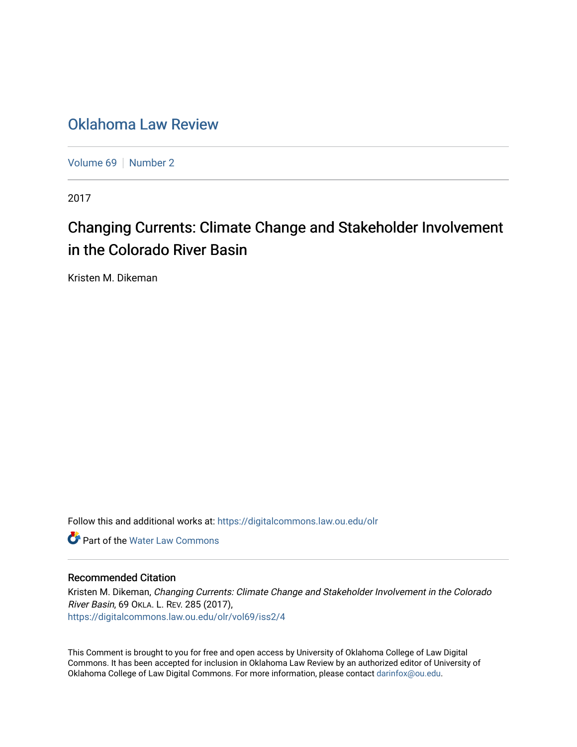## [Oklahoma Law Review](https://digitalcommons.law.ou.edu/olr)

[Volume 69](https://digitalcommons.law.ou.edu/olr/vol69) | [Number 2](https://digitalcommons.law.ou.edu/olr/vol69/iss2)

2017

# Changing Currents: Climate Change and Stakeholder Involvement in the Colorado River Basin

Kristen M. Dikeman

Follow this and additional works at: [https://digitalcommons.law.ou.edu/olr](https://digitalcommons.law.ou.edu/olr?utm_source=digitalcommons.law.ou.edu%2Folr%2Fvol69%2Fiss2%2F4&utm_medium=PDF&utm_campaign=PDFCoverPages)

**C** Part of the Water Law Commons

## Recommended Citation

Kristen M. Dikeman, Changing Currents: Climate Change and Stakeholder Involvement in the Colorado River Basin, 69 OKLA. L. REV. 285 (2017), [https://digitalcommons.law.ou.edu/olr/vol69/iss2/4](https://digitalcommons.law.ou.edu/olr/vol69/iss2/4?utm_source=digitalcommons.law.ou.edu%2Folr%2Fvol69%2Fiss2%2F4&utm_medium=PDF&utm_campaign=PDFCoverPages) 

This Comment is brought to you for free and open access by University of Oklahoma College of Law Digital Commons. It has been accepted for inclusion in Oklahoma Law Review by an authorized editor of University of Oklahoma College of Law Digital Commons. For more information, please contact [darinfox@ou.edu.](mailto:darinfox@ou.edu)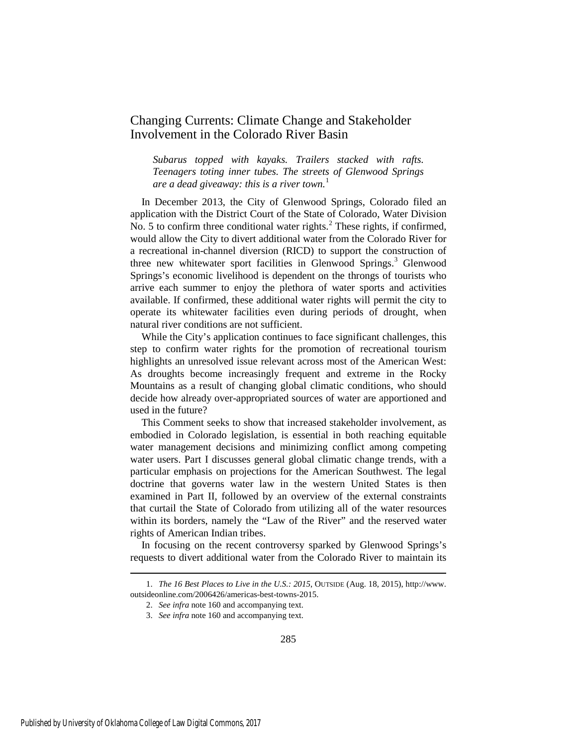## Changing Currents: Climate Change and Stakeholder Involvement in the Colorado River Basin

<span id="page-1-3"></span>*Subarus topped with kayaks. Trailers stacked with rafts. Teenagers toting inner tubes. The streets of Glenwood Springs are a dead giveaway: this is a river town.*<sup>[1](#page-1-0)</sup>

In December 2013, the City of Glenwood Springs, Colorado filed an application with the District Court of the State of Colorado, Water Division No. 5 to confirm three conditional water rights.<sup>[2](#page-1-1)</sup> These rights, if confirmed, would allow the City to divert additional water from the Colorado River for a recreational in-channel diversion (RICD) to support the construction of three new whitewater sport facilities in Glenwood Springs.<sup>[3](#page-1-2)</sup> Glenwood Springs's economic livelihood is dependent on the throngs of tourists who arrive each summer to enjoy the plethora of water sports and activities available. If confirmed, these additional water rights will permit the city to operate its whitewater facilities even during periods of drought, when natural river conditions are not sufficient.

While the City's application continues to face significant challenges, this step to confirm water rights for the promotion of recreational tourism highlights an unresolved issue relevant across most of the American West: As droughts become increasingly frequent and extreme in the Rocky Mountains as a result of changing global climatic conditions, who should decide how already over-appropriated sources of water are apportioned and used in the future?

This Comment seeks to show that increased stakeholder involvement, as embodied in Colorado legislation, is essential in both reaching equitable water management decisions and minimizing conflict among competing water users. Part I discusses general global climatic change trends, with a particular emphasis on projections for the American Southwest. The legal doctrine that governs water law in the western United States is then examined in Part II, followed by an overview of the external constraints that curtail the State of Colorado from utilizing all of the water resources within its borders, namely the "Law of the River" and the reserved water rights of American Indian tribes.

In focusing on the recent controversy sparked by Glenwood Springs's requests to divert additional water from the Colorado River to maintain its

<u>.</u>

<span id="page-1-2"></span><span id="page-1-1"></span><span id="page-1-0"></span> <sup>1.</sup> *The 16 Best Places to Live in the U.S.: 2015*, OUTSIDE (Aug. 18, 2015), http://www. outsideonline.com/2006426/americas-best-towns-2015.

 <sup>2.</sup> *See infra* not[e 160](#page-21-0) and accompanying text.

 <sup>3.</sup> *See infra* note 160 and accompanying text.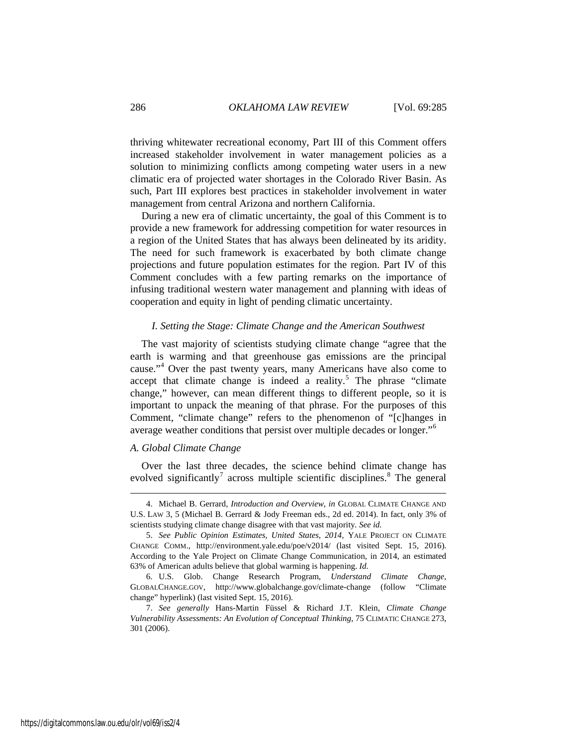thriving whitewater recreational economy, Part III of this Comment offers increased stakeholder involvement in water management policies as a solution to minimizing conflicts among competing water users in a new climatic era of projected water shortages in the Colorado River Basin. As such, Part III explores best practices in stakeholder involvement in water management from central Arizona and northern California.

During a new era of climatic uncertainty, the goal of this Comment is to provide a new framework for addressing competition for water resources in a region of the United States that has always been delineated by its aridity. The need for such framework is exacerbated by both climate change projections and future population estimates for the region. Part IV of this Comment concludes with a few parting remarks on the importance of infusing traditional western water management and planning with ideas of cooperation and equity in light of pending climatic uncertainty.

#### *I. Setting the Stage: Climate Change and the American Southwest*

<span id="page-2-5"></span><span id="page-2-4"></span>The vast majority of scientists studying climate change "agree that the earth is warming and that greenhouse gas emissions are the principal cause."[4](#page-2-0) Over the past twenty years, many Americans have also come to accept that climate change is indeed a reality.<sup>[5](#page-2-1)</sup> The phrase "climate change," however, can mean different things to different people, so it is important to unpack the meaning of that phrase. For the purposes of this Comment, "climate change" refers to the phenomenon of "[c]hanges in average weather conditions that persist over multiple decades or longer."<sup>[6](#page-2-2)</sup>

#### *A. Global Climate Change*

-

Over the last three decades, the science behind climate change has evolved significantly<sup>[7](#page-2-3)</sup> across multiple scientific disciplines.<sup>[8](#page-2-4)</sup> The general

<span id="page-2-0"></span> <sup>4.</sup> Michael B. Gerrard, *Introduction and Overview*, *in* GLOBAL CLIMATE CHANGE AND U.S. LAW 3, 5 (Michael B. Gerrard & Jody Freeman eds., 2d ed. 2014). In fact, only 3% of scientists studying climate change disagree with that vast majority. *See id.*

<span id="page-2-1"></span> <sup>5.</sup> *See Public Opinion Estimates, United States, 2014*, YALE PROJECT ON CLIMATE CHANGE COMM., http://environment.yale.edu/poe/v2014/ (last visited Sept. 15, 2016). According to the Yale Project on Climate Change Communication, in 2014, an estimated 63% of American adults believe that global warming is happening. *Id.*

<span id="page-2-2"></span> <sup>6.</sup> U.S. Glob. Change Research Program, *Understand Climate Change*, GLOBALCHANGE.GOV, http://www.globalchange.gov/climate-change (follow "Climate change" hyperlink) (last visited Sept. 15, 2016).

<span id="page-2-3"></span> <sup>7.</sup> *See generally* Hans-Martin Füssel & Richard J.T. Klein, *Climate Change Vulnerability Assessments: An Evolution of Conceptual Thinking*, 75 CLIMATIC CHANGE 273, 301 (2006).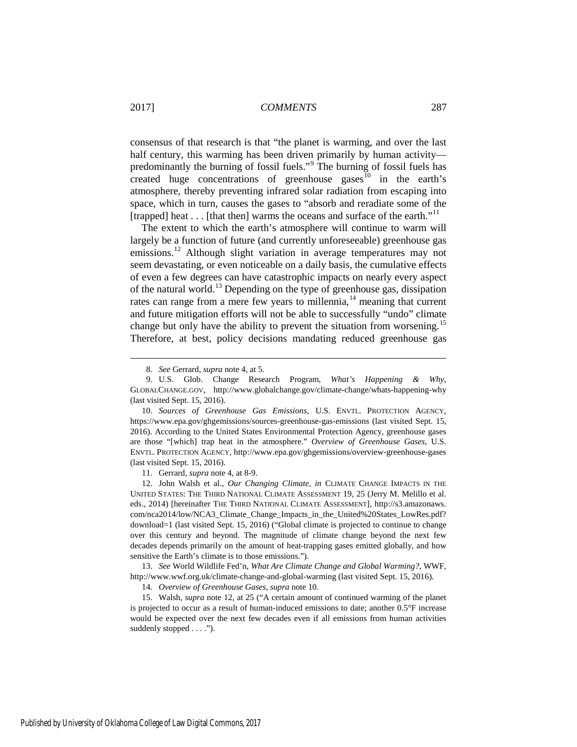<span id="page-3-0"></span>consensus of that research is that "the planet is warming, and over the last half century, this warming has been driven primarily by human activity predominantly the burning of fossil fuels."[9](#page-3-2) The burning of fossil fuels has created huge concentrations of greenhouse gases $^{10}$  $^{10}$  $^{10}$  in the earth's atmosphere, thereby preventing infrared solar radiation from escaping into space, which in turn, causes the gases to "absorb and reradiate some of the [trapped] heat . . . [that then] warms the oceans and surface of the earth."<sup>[11](#page-3-4)</sup>

<span id="page-3-1"></span>The extent to which the earth's atmosphere will continue to warm will largely be a function of future (and currently unforeseeable) greenhouse gas emissions.<sup>[12](#page-3-5)</sup> Although slight variation in average temperatures may not seem devastating, or even noticeable on a daily basis, the cumulative effects of even a few degrees can have catastrophic impacts on nearly every aspect of the natural world.[13](#page-3-6) Depending on the type of greenhouse gas, dissipation rates can range from a mere few years to millennia, $14$  meaning that current and future mitigation efforts will not be able to successfully "undo" climate change but only have the ability to prevent the situation from worsening.<sup>[15](#page-3-8)</sup> Therefore, at best, policy decisions mandating reduced greenhouse gas

11. Gerrard, *supra* not[e 4,](#page-2-5) at 8-9.

<span id="page-3-5"></span><span id="page-3-4"></span>12. John Walsh et al., *Our Changing Climate*, *in* CLIMATE CHANGE IMPACTS IN THE UNITED STATES: THE THIRD NATIONAL CLIMATE ASSESSMENT 19, 25 (Jerry M. Melillo et al. eds., 2014) [hereinafter THE THIRD NATIONAL CLIMATE ASSESSMENT], http://s3.amazonaws. com/nca2014/low/NCA3\_Climate\_Change\_Impacts\_in\_the\_United%20States\_LowRes.pdf? download=1 (last visited Sept. 15, 2016) ("Global climate is projected to continue to change over this century and beyond. The magnitude of climate change beyond the next few decades depends primarily on the amount of heat-trapping gases emitted globally, and how sensitive the Earth's climate is to those emissions.").

<span id="page-3-6"></span>13. *See* World Wildlife Fed'n, *What Are Climate Change and Global Warming?*, WWF, http://www.wwf.org.uk/climate-change-and-global-warming (last visited Sept. 15, 2016).

14. *Overview of Greenhouse Gases*, *supra* note [10.](#page-3-0)

<span id="page-3-8"></span><span id="page-3-7"></span>15. Walsh, *supra* not[e 12,](#page-3-1) at 25 ("A certain amount of continued warming of the planet is projected to occur as a result of human-induced emissions to date; another 0.5°F increase would be expected over the next few decades even if all emissions from human activities suddenly stopped . . . .").

 <sup>8.</sup> *See* Gerrard, *supra* not[e 4,](#page-2-5) at 5.

<span id="page-3-2"></span> <sup>9.</sup> U.S. Glob. Change Research Program, *What's Happening & Why*, GLOBALCHANGE.GOV, http://www.globalchange.gov/climate-change/whats-happening-why (last visited Sept. 15, 2016).

<span id="page-3-3"></span><sup>10.</sup> *Sources of Greenhouse Gas Emissions*, U.S. ENVTL. PROTECTION AGENCY, https://www.epa.gov/ghgemissions/sources-greenhouse-gas-emissions (last visited Sept. 15, 2016). According to the United States Environmental Protection Agency, greenhouse gases are those "[which] trap heat in the atmosphere." *Overview of Greenhouse Gases*, U.S. ENVTL. PROTECTION AGENCY, http://www.epa.gov/ghgemissions/overview-greenhouse-gases (last visited Sept. 15, 2016).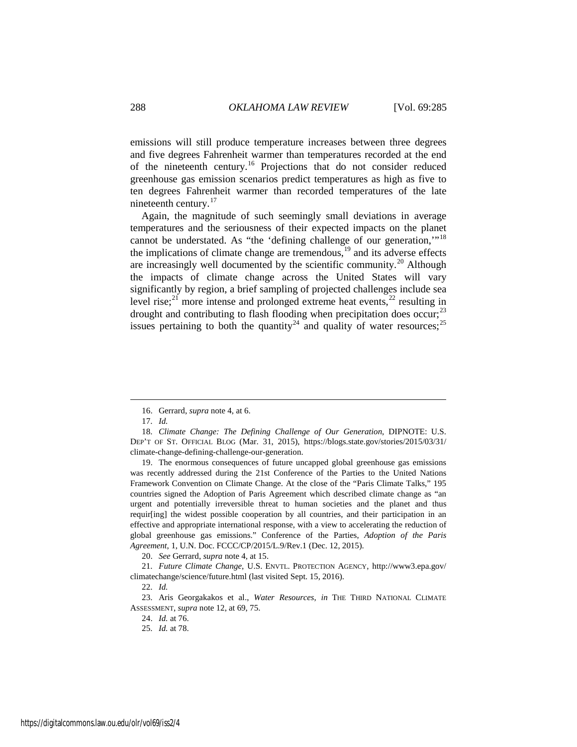emissions will still produce temperature increases between three degrees and five degrees Fahrenheit warmer than temperatures recorded at the end of the nineteenth century.[16](#page-4-0) Projections that do not consider reduced greenhouse gas emission scenarios predict temperatures as high as five to ten degrees Fahrenheit warmer than recorded temperatures of the late nineteenth century.<sup>[17](#page-4-1)</sup>

Again, the magnitude of such seemingly small deviations in average temperatures and the seriousness of their expected impacts on the planet cannot be understated. As "the 'defining challenge of our generation,"<sup>[18](#page-4-2)</sup> the implications of climate change are tremendous, $19$  and its adverse effects are increasingly well documented by the scientific community.<sup>20</sup> Although the impacts of climate change across the United States will vary significantly by region, a brief sampling of projected challenges include sea level rise;<sup>[21](#page-4-5)</sup> more intense and prolonged extreme heat events,<sup>[22](#page-4-6)</sup> resulting in drought and contributing to flash flooding when precipitation does occur;<sup>[23](#page-4-7)</sup> issues pertaining to both the quantity<sup>[24](#page-4-8)</sup> and quality of water resources;<sup>[25](#page-4-9)</sup>

20. *See* Gerrard, *supra* not[e 4,](#page-2-5) at 15.

 <sup>16.</sup> Gerrard, *supra* not[e 4,](#page-2-5) at 6.

<sup>17.</sup> *Id.*

<span id="page-4-2"></span><span id="page-4-1"></span><span id="page-4-0"></span><sup>18.</sup> *Climate Change: The Defining Challenge of Our Generation*, DIPNOTE: U.S. DEP'T OF ST. OFFICIAL BLOG (Mar. 31, 2015), https://blogs.state.gov/stories/2015/03/31/ climate-change-defining-challenge-our-generation.

<span id="page-4-3"></span><sup>19.</sup> The enormous consequences of future uncapped global greenhouse gas emissions was recently addressed during the 21st Conference of the Parties to the United Nations Framework Convention on Climate Change. At the close of the "Paris Climate Talks," 195 countries signed the Adoption of Paris Agreement which described climate change as "an urgent and potentially irreversible threat to human societies and the planet and thus requir[ing] the widest possible cooperation by all countries, and their participation in an effective and appropriate international response, with a view to accelerating the reduction of global greenhouse gas emissions." Conference of the Parties, *Adoption of the Paris Agreement*, 1, U.N. Doc. FCCC/CP/2015/L.9/Rev.1 (Dec. 12, 2015).

<span id="page-4-5"></span><span id="page-4-4"></span><sup>21.</sup> *Future Climate Change*, U.S. ENVTL. PROTECTION AGENCY, http://www3.epa.gov/ climatechange/science/future.html (last visited Sept. 15, 2016).

<sup>22.</sup> *Id.*

<span id="page-4-9"></span><span id="page-4-8"></span><span id="page-4-7"></span><span id="page-4-6"></span><sup>23.</sup> Aris Georgakakos et al., *Water Resources*, *in* THE THIRD NATIONAL CLIMATE ASSESSMENT, *supra* not[e 12,](#page-3-1) at 69, 75.

<sup>24.</sup> *Id.* at 76.

<sup>25.</sup> *Id.* at 78.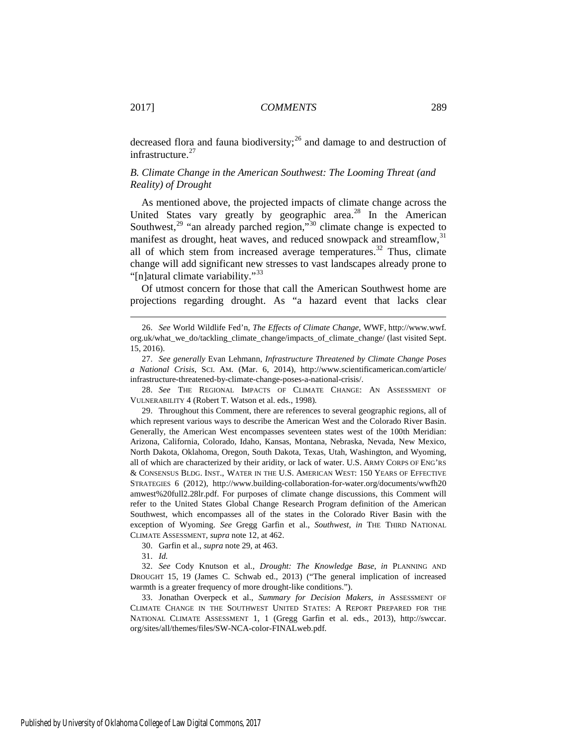decreased flora and fauna biodiversity;<sup>[26](#page-5-1)</sup> and damage to and destruction of infrastructure.<sup>[27](#page-5-2)</sup>

## *B. Climate Change in the American Southwest: The Looming Threat (and Reality) of Drought*

<span id="page-5-10"></span><span id="page-5-0"></span>As mentioned above, the projected impacts of climate change across the United States vary greatly by geographic area.<sup>[28](#page-5-3)</sup> In the American Southwest,<sup>[29](#page-5-4)</sup> "an already parched region,"<sup>[30](#page-5-5)</sup> climate change is expected to manifest as drought, heat waves, and reduced snowpack and streamflow,<sup>[31](#page-5-6)</sup> all of which stem from increased average temperatures.<sup>[32](#page-5-7)</sup> Thus, climate change will add significant new stresses to vast landscapes already prone to "[n]atural climate variability."<sup>[33](#page-5-8)</sup>

<span id="page-5-9"></span>Of utmost concern for those that call the American Southwest home are projections regarding drought. As "a hazard event that lacks clear

<span id="page-5-4"></span>29. Throughout this Comment, there are references to several geographic regions, all of which represent various ways to describe the American West and the Colorado River Basin. Generally, the American West encompasses seventeen states west of the 100th Meridian: Arizona, California, Colorado, Idaho, Kansas, Montana, Nebraska, Nevada, New Mexico, North Dakota, Oklahoma, Oregon, South Dakota, Texas, Utah, Washington, and Wyoming, all of which are characterized by their aridity, or lack of water. U.S. ARMY CORPS OF ENG'RS & CONSENSUS BLDG. INST., WATER IN THE U.S. AMERICAN WEST: 150 YEARS OF EFFECTIVE STRATEGIES 6 (2012), http://www.building-collaboration-for-water.org/documents/wwfh20 amwest%20full2.28lr.pdf. For purposes of climate change discussions, this Comment will refer to the United States Global Change Research Program definition of the American Southwest, which encompasses all of the states in the Colorado River Basin with the exception of Wyoming. *See* Gregg Garfin et al., *Southwest*, *in* THE THIRD NATIONAL CLIMATE ASSESSMENT, *supra* not[e 12,](#page-3-1) at 462.

30. Garfin et al., *supra* not[e 29,](#page-5-0) at 463.

31. *Id.*

<span id="page-5-7"></span><span id="page-5-6"></span><span id="page-5-5"></span>32. *See* Cody Knutson et al., *Drought: The Knowledge Base*, *in* PLANNING AND DROUGHT 15, 19 (James C. Schwab ed., 2013) ("The general implication of increased warmth is a greater frequency of more drought-like conditions.").

<span id="page-5-8"></span>33. Jonathan Overpeck et al., *Summary for Decision Makers*, *in* ASSESSMENT OF CLIMATE CHANGE IN THE SOUTHWEST UNITED STATES: A REPORT PREPARED FOR THE NATIONAL CLIMATE ASSESSMENT 1, 1 (Gregg Garfin et al. eds., 2013), http://swccar. org/sites/all/themes/files/SW-NCA-color-FINALweb.pdf.

<span id="page-5-1"></span> <sup>26.</sup> *See* World Wildlife Fed'n, *The Effects of Climate Change*, WWF, http://www.wwf. org.uk/what\_we\_do/tackling\_climate\_change/impacts\_of\_climate\_change/ (last visited Sept. 15, 2016).

<span id="page-5-2"></span><sup>27.</sup> *See generally* Evan Lehmann, *Infrastructure Threatened by Climate Change Poses a National Crisis*, SCI. AM. (Mar. 6, 2014), http://www.scientificamerican.com/article/ infrastructure-threatened-by-climate-change-poses-a-national-crisis/.

<span id="page-5-3"></span><sup>28.</sup> *See* THE REGIONAL IMPACTS OF CLIMATE CHANGE: AN ASSESSMENT OF VULNERABILITY 4 (Robert T. Watson et al. eds., 1998).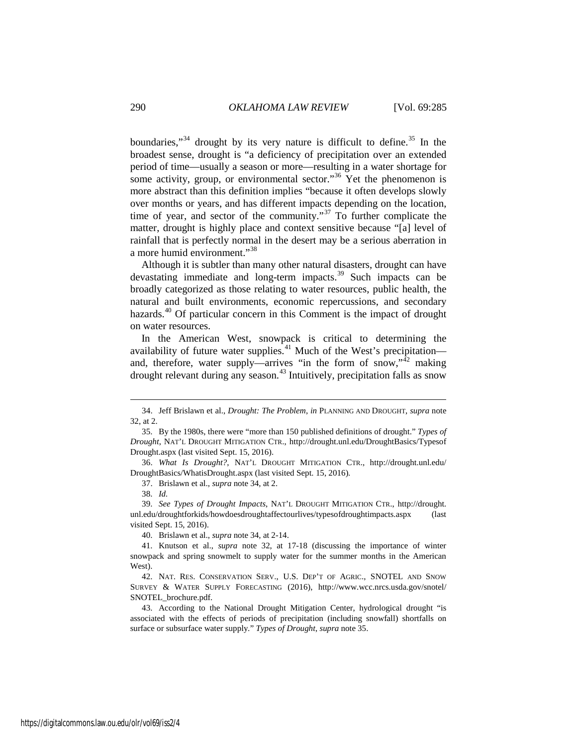<span id="page-6-12"></span><span id="page-6-1"></span><span id="page-6-0"></span>boundaries," $34$  drought by its very nature is difficult to define. $35$  In the broadest sense, drought is "a deficiency of precipitation over an extended period of time—usually a season or more—resulting in a water shortage for some activity, group, or environmental sector."<sup>[36](#page-6-4)</sup> Yet the phenomenon is more abstract than this definition implies "because it often develops slowly over months or years, and has different impacts depending on the location, time of year, and sector of the community."<sup>[37](#page-6-5)</sup> To further complicate the matter, drought is highly place and context sensitive because "[a] level of rainfall that is perfectly normal in the desert may be a serious aberration in a more humid environment."[38](#page-6-6)

Although it is subtler than many other natural disasters, drought can have devastating immediate and long-term impacts.<sup>[39](#page-6-7)</sup> Such impacts can be broadly categorized as those relating to water resources, public health, the natural and built environments, economic repercussions, and secondary hazards.<sup>[40](#page-6-8)</sup> Of particular concern in this Comment is the impact of drought on water resources.

In the American West, snowpack is critical to determining the availability of future water supplies.<sup>[41](#page-6-9)</sup> Much of the West's precipitation and, therefore, water supply—arrives "in the form of snow," $^{42}$  $^{42}$  $^{42}$  making drought relevant during any season.<sup>[43](#page-6-11)</sup> Intuitively, precipitation falls as snow

<span id="page-6-5"></span><span id="page-6-4"></span>36. *What Is Drought?*, NAT'L DROUGHT MITIGATION CTR., http://drought.unl.edu/ DroughtBasics/WhatisDrought.aspx (last visited Sept. 15, 2016).

37. Brislawn et al., *supra* not[e 34,](#page-6-0) at 2.

40. Brislawn et al., *supra* not[e 34,](#page-6-0) at 2-14.

<span id="page-6-2"></span> <sup>34.</sup> Jeff Brislawn et al., *Drought: The Problem*, *in* PLANNING AND DROUGHT, *supra* note [32,](#page-5-9) at 2.

<span id="page-6-3"></span><sup>35.</sup> By the 1980s, there were "more than 150 published definitions of drought." *Types of Drought*, NAT'L DROUGHT MITIGATION CTR., http://drought.unl.edu/DroughtBasics/Typesof Drought.aspx (last visited Sept. 15, 2016).

<sup>38.</sup> *Id.*

<span id="page-6-7"></span><span id="page-6-6"></span><sup>39.</sup> *See Types of Drought Impacts*, NAT'L DROUGHT MITIGATION CTR., http://drought. unl.edu/droughtforkids/howdoesdroughtaffectourlives/typesofdroughtimpacts.aspx (last visited Sept. 15, 2016).

<span id="page-6-9"></span><span id="page-6-8"></span><sup>41.</sup> Knutson et al., *supra* note [32,](#page-5-9) at 17-18 (discussing the importance of winter snowpack and spring snowmelt to supply water for the summer months in the American West).

<span id="page-6-10"></span><sup>42.</sup> NAT. RES. CONSERVATION SERV., U.S. DEP'T OF AGRIC., SNOTEL AND SNOW SURVEY & WATER SUPPLY FORECASTING (2016), http://www.wcc.nrcs.usda.gov/snotel/ SNOTEL\_brochure.pdf.

<span id="page-6-11"></span><sup>43.</sup> According to the National Drought Mitigation Center, hydrological drought "is associated with the effects of periods of precipitation (including snowfall) shortfalls on surface or subsurface water supply." *Types of Drought*, *supra* not[e 35.](#page-6-1)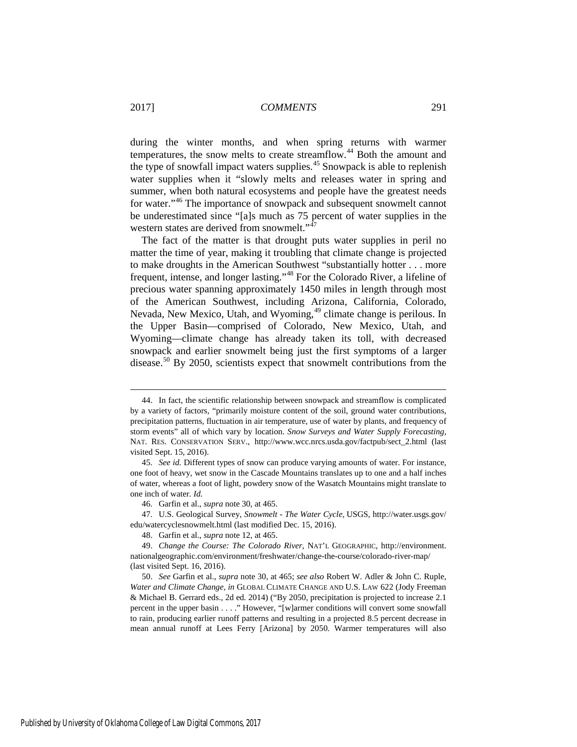during the winter months, and when spring returns with warmer temperatures, the snow melts to create streamflow.<sup>[44](#page-7-0)</sup> Both the amount and the type of snowfall impact waters supplies.<sup>[45](#page-7-1)</sup> Snowpack is able to replenish water supplies when it "slowly melts and releases water in spring and summer, when both natural ecosystems and people have the greatest needs for water."[46](#page-7-2) The importance of snowpack and subsequent snowmelt cannot be underestimated since "[a]s much as 75 percent of water supplies in the western states are derived from snowmelt."

The fact of the matter is that drought puts water supplies in peril no matter the time of year, making it troubling that climate change is projected to make droughts in the American Southwest "substantially hotter . . . more frequent, intense, and longer lasting."[48](#page-7-4) For the Colorado River, a lifeline of precious water spanning approximately 1450 miles in length through most of the American Southwest, including Arizona, California, Colorado, Nevada, New Mexico, Utah, and Wyoming,<sup>[49](#page-7-5)</sup> climate change is perilous. In the Upper Basin—comprised of Colorado, New Mexico, Utah, and Wyoming—climate change has already taken its toll, with decreased snowpack and earlier snowmelt being just the first symptoms of a larger disease.<sup>[50](#page-7-6)</sup> By 2050, scientists expect that snowmelt contributions from the

<span id="page-7-7"></span><span id="page-7-0"></span> <sup>44.</sup> In fact, the scientific relationship between snowpack and streamflow is complicated by a variety of factors, "primarily moisture content of the soil, ground water contributions, precipitation patterns, fluctuation in air temperature, use of water by plants, and frequency of storm events" all of which vary by location. *Snow Surveys and Water Supply Forecasting*, NAT. RES. CONSERVATION SERV., http://www.wcc.nrcs.usda.gov/factpub/sect\_2.html (last visited Sept. 15, 2016).

<span id="page-7-1"></span><sup>45.</sup> *See id.* Different types of snow can produce varying amounts of water. For instance, one foot of heavy, wet snow in the Cascade Mountains translates up to one and a half inches of water, whereas a foot of light, powdery snow of the Wasatch Mountains might translate to one inch of water. *Id.*

<sup>46.</sup> Garfin et al., *supra* not[e 30,](#page-5-10) at 465.

<span id="page-7-3"></span><span id="page-7-2"></span><sup>47.</sup> U.S. Geological Survey, *Snowmelt - The Water Cycle*, USGS, http://water.usgs.gov/ edu/watercyclesnowmelt.html (last modified Dec. 15, 2016).

<sup>48.</sup> Garfin et al., *supra* not[e 12,](#page-3-1) at 465.

<span id="page-7-5"></span><span id="page-7-4"></span><sup>49.</sup> *Change the Course: The Colorado River*, NAT'L GEOGRAPHIC, http://environment. nationalgeographic.com/environment/freshwater/change-the-course/colorado-river-map/ (last visited Sept. 16, 2016).

<span id="page-7-6"></span><sup>50.</sup> *See* Garfin et al., *supra* not[e 30,](#page-5-10) at 465; *see also* Robert W. Adler & John C. Ruple, *Water and Climate Change*, *in* GLOBAL CLIMATE CHANGE AND U.S. LAW 622 (Jody Freeman & Michael B. Gerrard eds., 2d ed. 2014) ("By 2050, precipitation is projected to increase 2.1 percent in the upper basin . . . ." However, "[w]armer conditions will convert some snowfall to rain, producing earlier runoff patterns and resulting in a projected 8.5 percent decrease in mean annual runoff at Lees Ferry [Arizona] by 2050. Warmer temperatures will also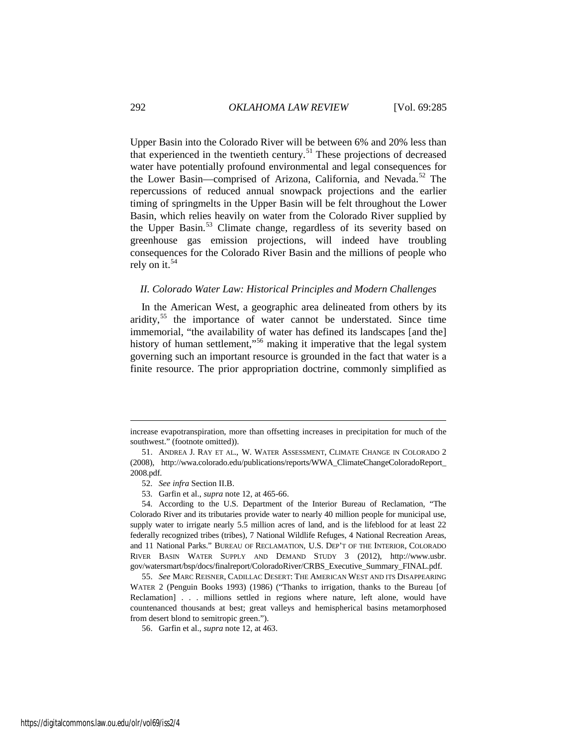Upper Basin into the Colorado River will be between 6% and 20% less than that experienced in the twentieth century.<sup>[51](#page-8-0)</sup> These projections of decreased water have potentially profound environmental and legal consequences for the Lower Basin—comprised of Arizona, California, and Nevada.<sup>[52](#page-8-1)</sup> The repercussions of reduced annual snowpack projections and the earlier timing of springmelts in the Upper Basin will be felt throughout the Lower Basin, which relies heavily on water from the Colorado River supplied by the Upper Basin.<sup>[53](#page-8-2)</sup> Climate change, regardless of its severity based on greenhouse gas emission projections, will indeed have troubling consequences for the Colorado River Basin and the millions of people who rely on it. $54$ 

## <span id="page-8-7"></span>*II. Colorado Water Law: Historical Principles and Modern Challenges*

<span id="page-8-6"></span>In the American West, a geographic area delineated from others by its aridity,<sup>[55](#page-8-4)</sup> the importance of water cannot be understated. Since time immemorial, "the availability of water has defined its landscapes [and the] history of human settlement,"<sup>[56](#page-8-5)</sup> making it imperative that the legal system governing such an important resource is grounded in the fact that water is a finite resource. The prior appropriation doctrine, commonly simplified as

increase evapotranspiration, more than offsetting increases in precipitation for much of the southwest." (footnote omitted)).

<span id="page-8-0"></span><sup>51.</sup> ANDREA J. RAY ET AL., W. WATER ASSESSMENT, CLIMATE CHANGE IN COLORADO 2 (2008), http://wwa.colorado.edu/publications/reports/WWA\_ClimateChangeColoradoReport\_ 2008.pdf.

<sup>52.</sup> *See infra* Section II.B.

<sup>53.</sup> Garfin et al., *supra* not[e 12,](#page-3-1) at 465-66.

<span id="page-8-3"></span><span id="page-8-2"></span><span id="page-8-1"></span><sup>54.</sup> According to the U.S. Department of the Interior Bureau of Reclamation, "The Colorado River and its tributaries provide water to nearly 40 million people for municipal use, supply water to irrigate nearly 5.5 million acres of land, and is the lifeblood for at least 22 federally recognized tribes (tribes), 7 National Wildlife Refuges, 4 National Recreation Areas, and 11 National Parks." BUREAU OF RECLAMATION, U.S. DEP'T OF THE INTERIOR, COLORADO RIVER BASIN WATER SUPPLY AND DEMAND STUDY 3 (2012), http://www.usbr. gov/watersmart/bsp/docs/finalreport/ColoradoRiver/CRBS\_Executive\_Summary\_FINAL.pdf.

<span id="page-8-5"></span><span id="page-8-4"></span><sup>55.</sup> *See* MARC REISNER, CADILLAC DESERT: THE AMERICAN WEST AND ITS DISAPPEARING WATER 2 (Penguin Books 1993) (1986) ("Thanks to irrigation, thanks to the Bureau [of Reclamation] . . . millions settled in regions where nature, left alone, would have countenanced thousands at best; great valleys and hemispherical basins metamorphosed from desert blond to semitropic green.").

<sup>56.</sup> Garfin et al., *supra* not[e 12,](#page-3-1) at 463.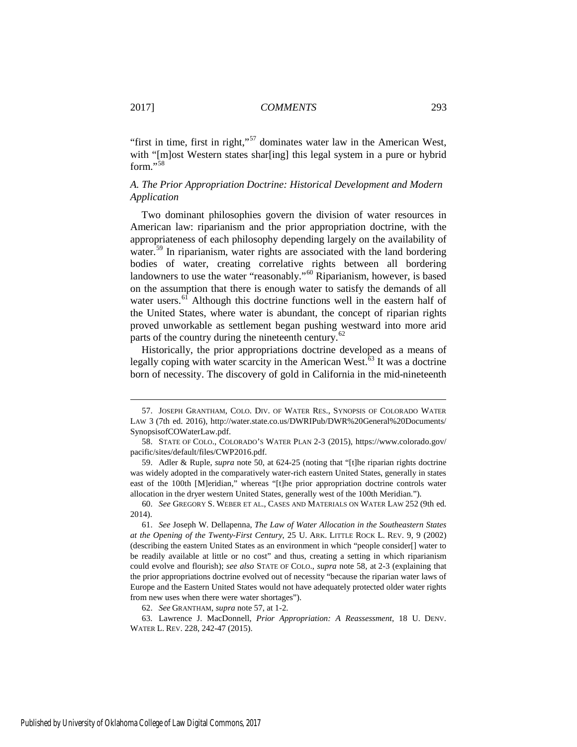<span id="page-9-1"></span>"first in time, first in right,"<sup>[57](#page-9-2)</sup> dominates water law in the American West, with "[m]ost Western states shar[ing] this legal system in a pure or hybrid form."<sup>58</sup>

## <span id="page-9-0"></span>*A. The Prior Appropriation Doctrine: Historical Development and Modern Application*

<span id="page-9-9"></span>Two dominant philosophies govern the division of water resources in American law: riparianism and the prior appropriation doctrine, with the appropriateness of each philosophy depending largely on the availability of water.<sup>[59](#page-9-4)</sup> In riparianism, water rights are associated with the land bordering bodies of water, creating correlative rights between all bordering landowners to use the water "reasonably."<sup>[60](#page-9-5)</sup> Riparianism, however, is based on the assumption that there is enough water to satisfy the demands of all water users.<sup>[61](#page-9-6)</sup> Although this doctrine functions well in the eastern half of the United States, where water is abundant, the concept of riparian rights proved unworkable as settlement began pushing westward into more arid parts of the country during the nineteenth century.<sup>[62](#page-9-7)</sup>

<span id="page-9-10"></span>Historically, the prior appropriations doctrine developed as a means of legally coping with water scarcity in the American West.<sup>[63](#page-9-8)</sup> It was a doctrine born of necessity. The discovery of gold in California in the mid-nineteenth

<span id="page-9-2"></span> <sup>57.</sup> JOSEPH GRANTHAM, COLO. DIV. OF WATER RES., SYNOPSIS OF COLORADO WATER LAW 3 (7th ed. 2016), http://water.state.co.us/DWRIPub/DWR%20General%20Documents/ SynopsisofCOWaterLaw.pdf.

<span id="page-9-3"></span><sup>58.</sup> STATE OF COLO., COLORADO'S WATER PLAN 2-3 (2015), https://www.colorado.gov/ pacific/sites/default/files/CWP2016.pdf.

<span id="page-9-4"></span><sup>59.</sup> Adler & Ruple, *supra* not[e 50,](#page-7-7) at 624-25 (noting that "[t]he riparian rights doctrine was widely adopted in the comparatively water-rich eastern United States, generally in states east of the 100th [M]eridian," whereas "[t]he prior appropriation doctrine controls water allocation in the dryer western United States, generally west of the 100th Meridian.").

<span id="page-9-5"></span><sup>60.</sup> *See* GREGORY S. WEBER ET AL., CASES AND MATERIALS ON WATER LAW 252 (9th ed. 2014).

<span id="page-9-6"></span><sup>61.</sup> *See* Joseph W. Dellapenna, *The Law of Water Allocation in the Southeastern States at the Opening of the Twenty-First Century*, 25 U. ARK. LITTLE ROCK L. REV. 9, 9 (2002) (describing the eastern United States as an environment in which "people consider[] water to be readily available at little or no cost" and thus, creating a setting in which riparianism could evolve and flourish); *see also* STATE OF COLO., *supra* note [58,](#page-9-0) at 2-3 (explaining that the prior appropriations doctrine evolved out of necessity "because the riparian water laws of Europe and the Eastern United States would not have adequately protected older water rights from new uses when there were water shortages").

<sup>62.</sup> *See* GRANTHAM, *supra* not[e 57,](#page-9-1) at 1-2.

<span id="page-9-8"></span><span id="page-9-7"></span><sup>63.</sup> Lawrence J. MacDonnell, *Prior Appropriation: A Reassessment*, 18 U. DENV. WATER L. REV. 228, 242-47 (2015).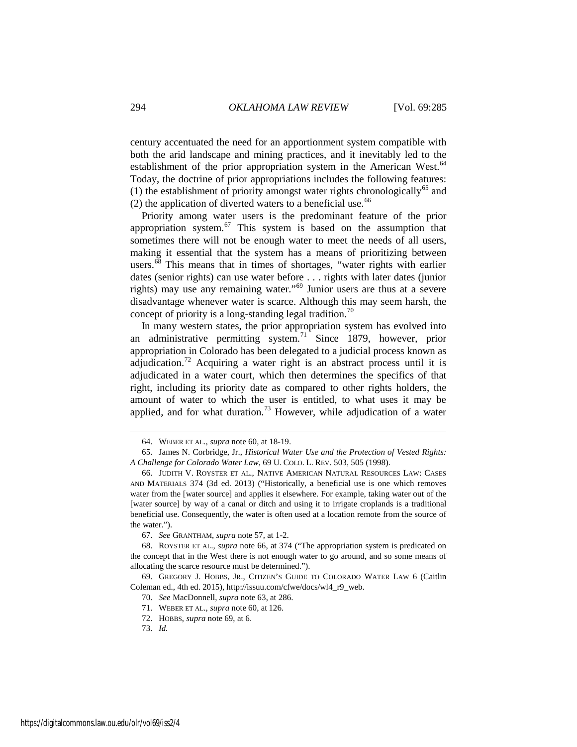century accentuated the need for an apportionment system compatible with both the arid landscape and mining practices, and it inevitably led to the establishment of the prior appropriation system in the American West.<sup>[64](#page-10-2)</sup> Today, the doctrine of prior appropriations includes the following features: (1) the establishment of priority amongst water rights chronologically<sup>[65](#page-10-3)</sup> and (2) the application of diverted waters to a beneficial use. $66$ 

<span id="page-10-0"></span>Priority among water users is the predominant feature of the prior appropriation system. $67$  This system is based on the assumption that sometimes there will not be enough water to meet the needs of all users, making it essential that the system has a means of prioritizing between users. $\overline{68}$  $\overline{68}$  $\overline{68}$  This means that in times of shortages, "water rights with earlier dates (senior rights) can use water before . . . rights with later dates (junior rights) may use any remaining water."[69](#page-10-7) Junior users are thus at a severe disadvantage whenever water is scarce. Although this may seem harsh, the concept of priority is a long-standing legal tradition.<sup>[70](#page-10-8)</sup>

<span id="page-10-1"></span>In many western states, the prior appropriation system has evolved into an administrative permitting system.[71](#page-10-9) Since 1879, however, prior appropriation in Colorado has been delegated to a judicial process known as adjudication.<sup>[72](#page-10-10)</sup> Acquiring a water right is an abstract process until it is adjudicated in a water court, which then determines the specifics of that right, including its priority date as compared to other rights holders, the amount of water to which the user is entitled, to what uses it may be applied, and for what duration.<sup>[73](#page-10-11)</sup> However, while adjudication of a water

 <sup>64.</sup> WEBER ET AL., *supra* not[e 60,](#page-9-9) at 18-19.

<span id="page-10-3"></span><span id="page-10-2"></span><sup>65.</sup> James N. Corbridge, Jr., *Historical Water Use and the Protection of Vested Rights: A Challenge for Colorado Water Law*, 69 U. COLO. L. REV. 503, 505 (1998).

<span id="page-10-4"></span><sup>66.</sup> JUDITH V. ROYSTER ET AL., NATIVE AMERICAN NATURAL RESOURCES LAW: CASES AND MATERIALS 374 (3d ed. 2013) ("Historically, a beneficial use is one which removes water from the [water source] and applies it elsewhere. For example, taking water out of the [water source] by way of a canal or ditch and using it to irrigate croplands is a traditional beneficial use. Consequently, the water is often used at a location remote from the source of the water.").

<sup>67.</sup> *See* GRANTHAM, *supra* note [57,](#page-9-1) at 1-2.

<span id="page-10-6"></span><span id="page-10-5"></span><sup>68.</sup> ROYSTER ET AL., *supra* note [66,](#page-10-0) at 374 ("The appropriation system is predicated on the concept that in the West there is not enough water to go around, and so some means of allocating the scarce resource must be determined.").

<span id="page-10-11"></span><span id="page-10-10"></span><span id="page-10-9"></span><span id="page-10-8"></span><span id="page-10-7"></span><sup>69.</sup> GREGORY J. HOBBS, JR., CITIZEN'S GUIDE TO COLORADO WATER LAW 6 (Caitlin Coleman ed., 4th ed. 2015), http://issuu.com/cfwe/docs/wl4\_r9\_web.

<sup>70.</sup> *See* MacDonnell, *supra* not[e 63,](#page-9-10) at 286.

<sup>71.</sup> WEBER ET AL., *supra* not[e 60,](#page-9-9) at 126.

<sup>72.</sup> HOBBS, *supra* not[e 69,](#page-10-1) at 6.

<sup>73.</sup> *Id.*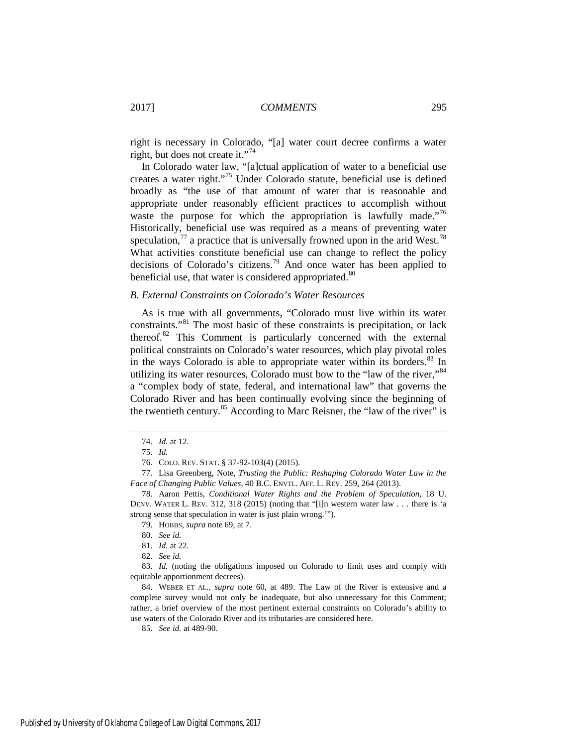right is necessary in Colorado, "[a] water court decree confirms a water right, but does not create it."[74](#page-11-0)

In Colorado water law, "[a]ctual application of water to a beneficial use creates a water right."[75](#page-11-1) Under Colorado statute, beneficial use is defined broadly as "the use of that amount of water that is reasonable and appropriate under reasonably efficient practices to accomplish without waste the purpose for which the appropriation is lawfully made."<sup>[76](#page-11-2)</sup> Historically, beneficial use was required as a means of preventing water speculation,<sup>[77](#page-11-3)</sup> a practice that is universally frowned upon in the arid West.<sup>[78](#page-11-4)</sup> What activities constitute beneficial use can change to reflect the policy decisions of Colorado's citizens.<sup>[79](#page-11-5)</sup> And once water has been applied to beneficial use, that water is considered appropriated.<sup>[80](#page-11-6)</sup>

## *B. External Constraints on Colorado's Water Resources*

As is true with all governments, "Colorado must live within its water constraints."[81](#page-11-7) The most basic of these constraints is precipitation, or lack thereof. $82$  This Comment is particularly concerned with the external political constraints on Colorado's water resources, which play pivotal roles in the ways Colorado is able to appropriate water within its borders.<sup>[83](#page-11-9)</sup> In utilizing its water resources, Colorado must bow to the "law of the river,"[84](#page-11-10) a "complex body of state, federal, and international law" that governs the Colorado River and has been continually evolving since the beginning of the twentieth century.<sup>[85](#page-11-11)</sup> According to Marc Reisner, the "law of the river" is

<span id="page-11-11"></span><span id="page-11-10"></span>84. WEBER ET AL., *supra* note [60,](#page-9-9) at 489. The Law of the River is extensive and a complete survey would not only be inadequate, but also unnecessary for this Comment; rather, a brief overview of the most pertinent external constraints on Colorado's ability to use waters of the Colorado River and its tributaries are considered here.

85. *See id.* at 489-90.

 <sup>74.</sup> *Id.* at 12.

<sup>75.</sup> *Id.*

<sup>76.</sup> COLO. REV. STAT. § 37-92-103(4) (2015).

<span id="page-11-3"></span><span id="page-11-2"></span><span id="page-11-1"></span><span id="page-11-0"></span><sup>77.</sup> Lisa Greenberg, Note, *Trusting the Public: Reshaping Colorado Water Law in the Face of Changing Public Values*, 40 B.C. ENVTL. AFF. L. REV. 259, 264 (2013).

<span id="page-11-5"></span><span id="page-11-4"></span><sup>78.</sup> Aaron Pettis, *Conditional Water Rights and the Problem of Speculation*, 18 U. DENV. WATER L. REV. 312, 318 (2015) (noting that "[i]n western water law . . . there is 'a strong sense that speculation in water is just plain wrong.'").

<sup>79.</sup> HOBBS, *supra* not[e 69,](#page-10-1) at 7.

<sup>80.</sup> *See id.*

<sup>81.</sup> *Id.* at 22.

<sup>82.</sup> *See id.*

<span id="page-11-9"></span><span id="page-11-8"></span><span id="page-11-7"></span><span id="page-11-6"></span><sup>83.</sup> *Id.* (noting the obligations imposed on Colorado to limit uses and comply with equitable apportionment decrees).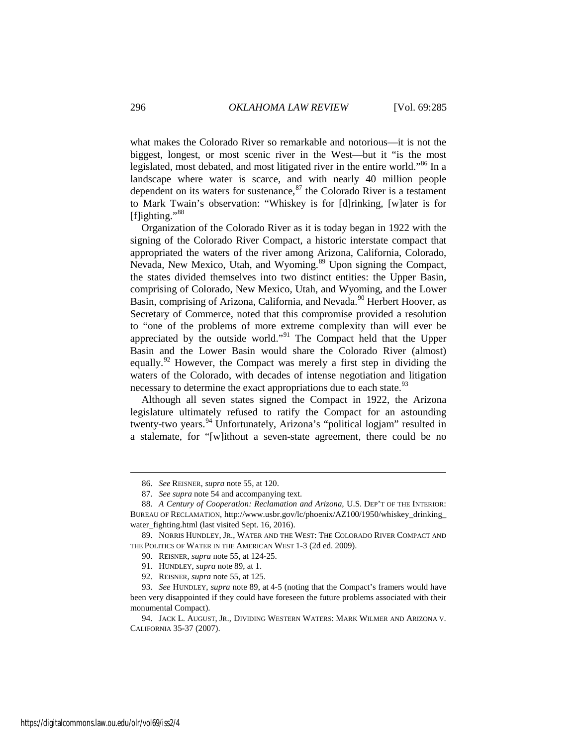what makes the Colorado River so remarkable and notorious—it is not the biggest, longest, or most scenic river in the West—but it "is the most legislated, most debated, and most litigated river in the entire world."<sup>[86](#page-12-1)</sup> In a landscape where water is scarce, and with nearly 40 million people dependent on its waters for sustenance,  $87$  the Colorado River is a testament to Mark Twain's observation: "Whiskey is for [d]rinking, [w]ater is for [f]ighting."<sup>[88](#page-12-3)</sup>

<span id="page-12-0"></span>Organization of the Colorado River as it is today began in 1922 with the signing of the Colorado River Compact, a historic interstate compact that appropriated the waters of the river among Arizona, California, Colorado, Nevada, New Mexico, Utah, and Wyoming.<sup>[89](#page-12-4)</sup> Upon signing the Compact, the states divided themselves into two distinct entities: the Upper Basin, comprising of Colorado, New Mexico, Utah, and Wyoming, and the Lower Basin, comprising of Arizona, California, and Nevada.<sup>90</sup> Herbert Hoover, as Secretary of Commerce, noted that this compromise provided a resolution to "one of the problems of more extreme complexity than will ever be appreciated by the outside world."[91](#page-12-6) The Compact held that the Upper Basin and the Lower Basin would share the Colorado River (almost) equally.<sup>[92](#page-12-7)</sup> However, the Compact was merely a first step in dividing the waters of the Colorado, with decades of intense negotiation and litigation necessary to determine the exact appropriations due to each state.<sup>[93](#page-12-8)</sup>

<span id="page-12-10"></span>Although all seven states signed the Compact in 1922, the Arizona legislature ultimately refused to ratify the Compact for an astounding twenty-two years.<sup>[94](#page-12-9)</sup> Unfortunately, Arizona's "political logjam" resulted in a stalemate, for "[w]ithout a seven-state agreement, there could be no

 <sup>86.</sup> *See* REISNER, *supra* not[e 55,](#page-8-6) at 120.

<sup>87.</sup> *See supra* not[e 54](#page-8-7) and accompanying text.

<span id="page-12-3"></span><span id="page-12-2"></span><span id="page-12-1"></span><sup>88.</sup> *A Century of Cooperation: Reclamation and Arizona*, U.S. DEP'T OF THE INTERIOR: BUREAU OF RECLAMATION, http://www.usbr.gov/lc/phoenix/AZ100/1950/whiskey\_drinking\_ water\_fighting.html (last visited Sept. 16, 2016).

<span id="page-12-5"></span><span id="page-12-4"></span><sup>89.</sup> NORRIS HUNDLEY, JR., WATER AND THE WEST: THE COLORADO RIVER COMPACT AND THE POLITICS OF WATER IN THE AMERICAN WEST 1-3 (2d ed. 2009).

<sup>90.</sup> REISNER, *supra* note [55,](#page-8-6) at 124-25.

<sup>91.</sup> HUNDLEY, *supra* note [89,](#page-12-0) at 1.

<sup>92.</sup> REISNER, *supra* note [55,](#page-8-6) at 125.

<span id="page-12-8"></span><span id="page-12-7"></span><span id="page-12-6"></span><sup>93.</sup> *See* HUNDLEY, *supra* note [89,](#page-12-0) at 4-5 (noting that the Compact's framers would have been very disappointed if they could have foreseen the future problems associated with their monumental Compact).

<span id="page-12-9"></span><sup>94.</sup> JACK L. AUGUST, JR., DIVIDING WESTERN WATERS: MARK WILMER AND ARIZONA V. CALIFORNIA 35-37 (2007).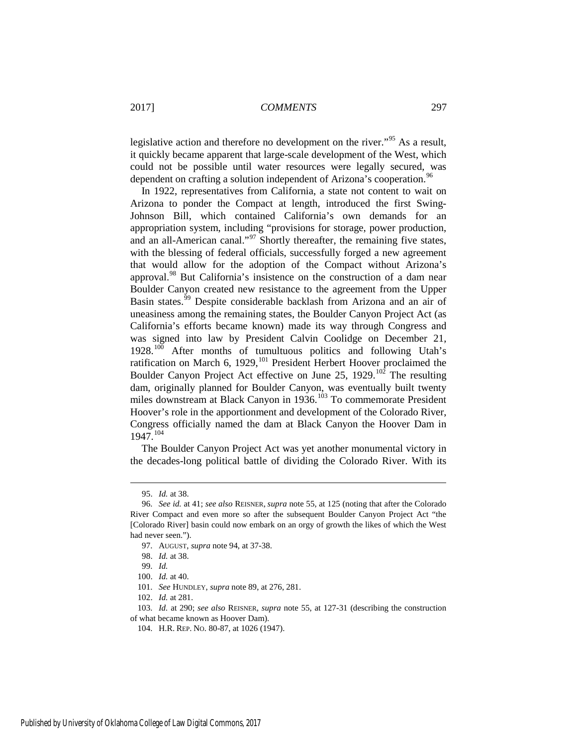legislative action and therefore no development on the river."<sup>[95](#page-13-0)</sup> As a result, it quickly became apparent that large-scale development of the West, which could not be possible until water resources were legally secured, was dependent on crafting a solution independent of Arizona's cooperation.<sup>9</sup>

In 1922, representatives from California, a state not content to wait on Arizona to ponder the Compact at length, introduced the first Swing-Johnson Bill, which contained California's own demands for an appropriation system, including "provisions for storage, power production, and an all-American canal."<sup>[97](#page-13-2)</sup> Shortly thereafter, the remaining five states, with the blessing of federal officials, successfully forged a new agreement that would allow for the adoption of the Compact without Arizona's approval.[98](#page-13-3) But California's insistence on the construction of a dam near Boulder Canyon created new resistance to the agreement from the Upper Basin states.<sup>[99](#page-13-4)</sup> Despite considerable backlash from Arizona and an air of uneasiness among the remaining states, the Boulder Canyon Project Act (as California's efforts became known) made its way through Congress and was signed into law by President Calvin Coolidge on December 21, 1928.<sup>[100](#page-13-5)</sup> After months of tumultuous politics and following Utah's ratification on March 6, 1929, $^{101}$  $^{101}$  $^{101}$  President Herbert Hoover proclaimed the Boulder Canyon Project Act effective on June 25,  $1929$ .<sup>[102](#page-13-7)</sup> The resulting dam, originally planned for Boulder Canyon, was eventually built twenty miles downstream at Black Canyon in 1936.<sup>[103](#page-13-8)</sup> To commemorate President Hoover's role in the apportionment and development of the Colorado River, Congress officially named the dam at Black Canyon the Hoover Dam in 1947.<sup>[104](#page-13-9)</sup>

The Boulder Canyon Project Act was yet another monumental victory in the decades-long political battle of dividing the Colorado River. With its

<span id="page-13-9"></span><span id="page-13-8"></span><span id="page-13-7"></span><span id="page-13-6"></span><span id="page-13-5"></span><span id="page-13-4"></span>103. *Id.* at 290; *see also* REISNER, *supra* note [55,](#page-8-6) at 127-31 (describing the construction of what became known as Hoover Dam).

 <sup>95.</sup> *Id.* at 38.

<span id="page-13-3"></span><span id="page-13-2"></span><span id="page-13-1"></span><span id="page-13-0"></span><sup>96.</sup> *See id.* at 41; *see also* REISNER, *supra* note [55,](#page-8-6) at 125 (noting that after the Colorado River Compact and even more so after the subsequent Boulder Canyon Project Act "the [Colorado River] basin could now embark on an orgy of growth the likes of which the West had never seen.").

<sup>97.</sup> AUGUST, *supra* not[e 94,](#page-12-10) at 37-38.

<sup>98.</sup> *Id.* at 38.

<sup>99.</sup> *Id.*

<sup>100.</sup> *Id.* at 40.

<sup>101.</sup> *See* HUNDLEY, *supra* not[e 89,](#page-12-0) at 276, 281.

<sup>102.</sup> *Id.* at 281.

<sup>104.</sup> H.R. REP. NO. 80-87, at 1026 (1947).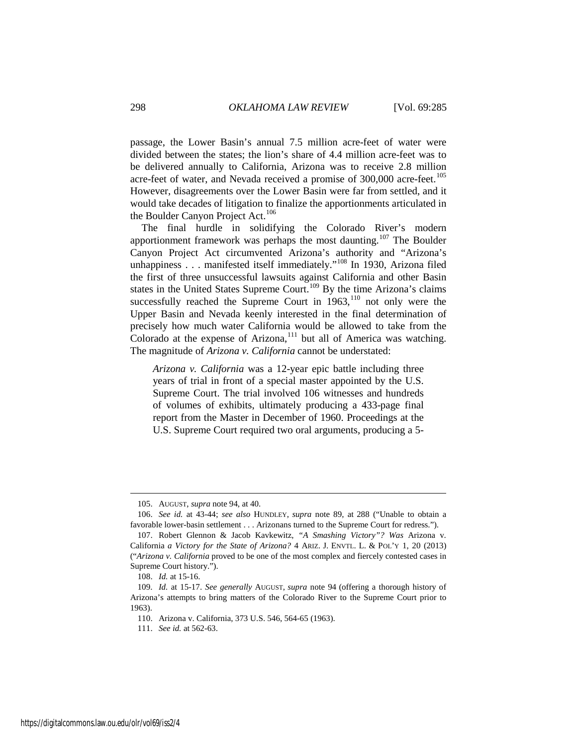passage, the Lower Basin's annual 7.5 million acre-feet of water were divided between the states; the lion's share of 4.4 million acre-feet was to be delivered annually to California, Arizona was to receive 2.8 million acre-feet of water, and Nevada received a promise of 300,000 acre-feet.<sup>[105](#page-14-0)</sup> However, disagreements over the Lower Basin were far from settled, and it would take decades of litigation to finalize the apportionments articulated in the Boulder Canyon Project Act.<sup>[106](#page-14-1)</sup>

<span id="page-14-7"></span>The final hurdle in solidifying the Colorado River's modern apportionment framework was perhaps the most daunting.<sup>[107](#page-14-2)</sup> The Boulder Canyon Project Act circumvented Arizona's authority and "Arizona's unhappiness . . . manifested itself immediately."<sup>[108](#page-14-3)</sup> In 1930, Arizona filed the first of three unsuccessful lawsuits against California and other Basin states in the United States Supreme Court.<sup>[109](#page-14-4)</sup> By the time Arizona's claims successfully reached the Supreme Court in  $1963$ ,<sup>[110](#page-14-5)</sup> not only were the Upper Basin and Nevada keenly interested in the final determination of precisely how much water California would be allowed to take from the Colorado at the expense of Arizona, $111$  but all of America was watching. The magnitude of *Arizona v. California* cannot be understated:

*Arizona v. California* was a 12-year epic battle including three years of trial in front of a special master appointed by the U.S. Supreme Court. The trial involved 106 witnesses and hundreds of volumes of exhibits, ultimately producing a 433-page final report from the Master in December of 1960. Proceedings at the U.S. Supreme Court required two oral arguments, producing a 5-

<sup>105.</sup> AUGUST, *supra* not[e 94,](#page-12-10) at 40.

<span id="page-14-1"></span><span id="page-14-0"></span><sup>106.</sup> *See id.* at 43-44; *see also* HUNDLEY, *supra* note [89,](#page-12-0) at 288 ("Unable to obtain a favorable lower-basin settlement . . . Arizonans turned to the Supreme Court for redress.").

<span id="page-14-2"></span><sup>107.</sup> Robert Glennon & Jacob Kavkewitz, *"A Smashing Victory"? Was* Arizona v. California *a Victory for the State of Arizona?* 4 ARIZ. J. ENVTL. L. & POL'Y 1, 20 (2013) ("*Arizona v. California* proved to be one of the most complex and fiercely contested cases in Supreme Court history.").

<sup>108.</sup> *Id.* at 15-16.

<span id="page-14-6"></span><span id="page-14-5"></span><span id="page-14-4"></span><span id="page-14-3"></span><sup>109.</sup> *Id.* at 15-17. *See generally* AUGUST, *supra* note [94](#page-12-10) (offering a thorough history of Arizona's attempts to bring matters of the Colorado River to the Supreme Court prior to 1963).

<sup>110.</sup> Arizona v. California, 373 U.S. 546, 564-65 (1963).

<sup>111.</sup> *See id.* at 562-63.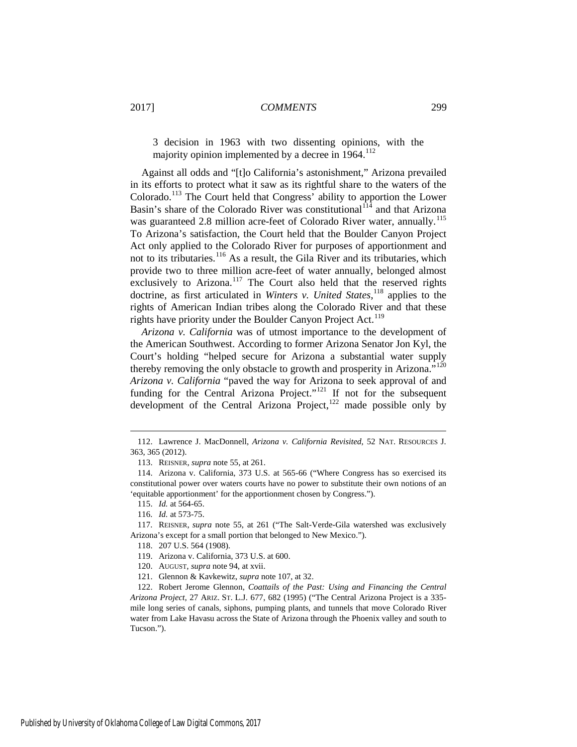3 decision in 1963 with two dissenting opinions, with the majority opinion implemented by a decree in 1964.<sup>[112](#page-15-0)</sup>

Against all odds and "[t]o California's astonishment," Arizona prevailed in its efforts to protect what it saw as its rightful share to the waters of the Colorado.[113](#page-15-1) The Court held that Congress' ability to apportion the Lower Basin's share of the Colorado River was constitutional  $\overline{114}$  $\overline{114}$  $\overline{114}$  and that Arizona was guaranteed 2.8 million acre-feet of Colorado River water, annually.<sup>[115](#page-15-3)</sup> To Arizona's satisfaction, the Court held that the Boulder Canyon Project Act only applied to the Colorado River for purposes of apportionment and not to its tributaries.<sup>[116](#page-15-4)</sup> As a result, the Gila River and its tributaries, which provide two to three million acre-feet of water annually, belonged almost exclusively to Arizona.<sup>[117](#page-15-5)</sup> The Court also held that the reserved rights doctrine, as first articulated in *Winters v. United States*, [118](#page-15-6) applies to the rights of American Indian tribes along the Colorado River and that these rights have priority under the Boulder Canyon Project Act.<sup>[119](#page-15-7)</sup>

*Arizona v. California* was of utmost importance to the development of the American Southwest. According to former Arizona Senator Jon Kyl, the Court's holding "helped secure for Arizona a substantial water supply thereby removing the only obstacle to growth and prosperity in Arizona.<sup> $5120$  $5120$ </sup> *Arizona v. California* "paved the way for Arizona to seek approval of and funding for the Central Arizona Project."<sup>[121](#page-15-9)</sup> If not for the subsequent development of the Central Arizona Project,[122](#page-15-10) made possible only by

<span id="page-15-0"></span><sup>112.</sup> Lawrence J. MacDonnell, *Arizona v. California Revisited*, 52 NAT. RESOURCES J. 363, 365 (2012).

<sup>113.</sup> REISNER, *supra* note [55,](#page-8-6) at 261.

<span id="page-15-2"></span><span id="page-15-1"></span><sup>114.</sup> Arizona v. California, 373 U.S. at 565-66 ("Where Congress has so exercised its constitutional power over waters courts have no power to substitute their own notions of an 'equitable apportionment' for the apportionment chosen by Congress.").

<sup>115.</sup> *Id.* at 564-65.

<sup>116.</sup> *Id.* at 573-75.

<span id="page-15-7"></span><span id="page-15-6"></span><span id="page-15-5"></span><span id="page-15-4"></span><span id="page-15-3"></span><sup>117.</sup> REISNER, *supra* note [55,](#page-8-6) at 261 ("The Salt-Verde-Gila watershed was exclusively Arizona's except for a small portion that belonged to New Mexico.").

<sup>118. 207</sup> U.S. 564 (1908).

<sup>119.</sup> Arizona v. California, 373 U.S. at 600.

<sup>120.</sup> AUGUST, *supra* not[e 94,](#page-12-10) at xvii.

<sup>121.</sup> Glennon & Kavkewitz, *supra* note [107,](#page-14-7) at 32.

<span id="page-15-10"></span><span id="page-15-9"></span><span id="page-15-8"></span><sup>122.</sup> Robert Jerome Glennon, *Coattails of the Past: Using and Financing the Central Arizona Project*, 27 ARIZ. ST. L.J. 677, 682 (1995) ("The Central Arizona Project is a 335 mile long series of canals, siphons, pumping plants, and tunnels that move Colorado River water from Lake Havasu across the State of Arizona through the Phoenix valley and south to Tucson.").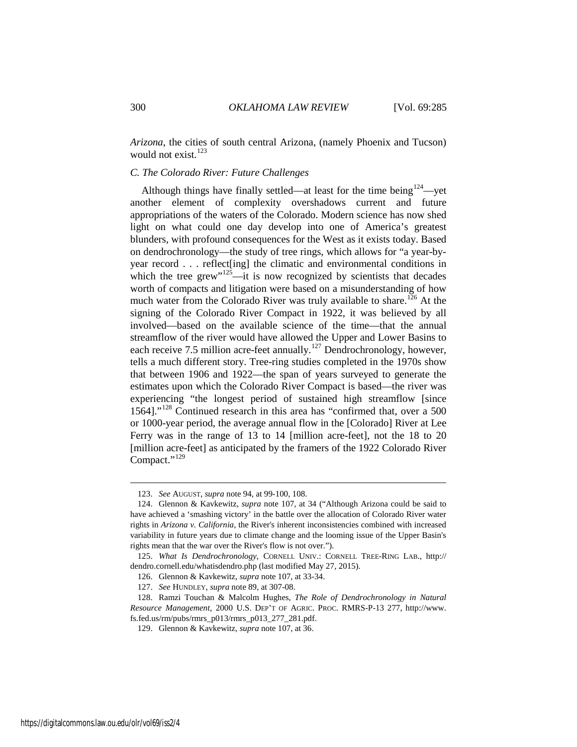*Arizona*, the cities of south central Arizona, (namely Phoenix and Tucson) would not exist. $123$ 

#### *C. The Colorado River: Future Challenges*

Although things have finally settled—at least for the time being $124$ —yet another element of complexity overshadows current and future appropriations of the waters of the Colorado. Modern science has now shed light on what could one day develop into one of America's greatest blunders, with profound consequences for the West as it exists today. Based on dendrochronology—the study of tree rings, which allows for "a year-byyear record . . . reflect[ing] the climatic and environmental conditions in which the tree grew" $125$ —it is now recognized by scientists that decades worth of compacts and litigation were based on a misunderstanding of how much water from the Colorado River was truly available to share.<sup>[126](#page-16-3)</sup> At the signing of the Colorado River Compact in 1922, it was believed by all involved—based on the available science of the time—that the annual streamflow of the river would have allowed the Upper and Lower Basins to each receive 7.5 million acre-feet annually.<sup>[127](#page-16-4)</sup> Dendrochronology, however, tells a much different story. Tree-ring studies completed in the 1970s show that between 1906 and 1922—the span of years surveyed to generate the estimates upon which the Colorado River Compact is based—the river was experiencing "the longest period of sustained high streamflow [since 1564]."<sup>[128](#page-16-5)</sup> Continued research in this area has "confirmed that, over a 500 or 1000-year period, the average annual flow in the [Colorado] River at Lee Ferry was in the range of 13 to 14 [million acre-feet], not the 18 to 20 [million acre-feet] as anticipated by the framers of the 1922 Colorado River Compact."<sup>[129](#page-16-6)</sup>

<sup>123.</sup> *See* AUGUST, *supra* note [94,](#page-12-10) at 99-100, 108.

<span id="page-16-1"></span><span id="page-16-0"></span><sup>124.</sup> Glennon & Kavkewitz, *supra* note [107,](#page-14-7) at 34 ("Although Arizona could be said to have achieved a 'smashing victory' in the battle over the allocation of Colorado River water rights in *Arizona v. California*, the River's inherent inconsistencies combined with increased variability in future years due to climate change and the looming issue of the Upper Basin's rights mean that the war over the River's flow is not over.").

<span id="page-16-3"></span><span id="page-16-2"></span><sup>125.</sup> *What Is Dendrochronology*, CORNELL UNIV.: CORNELL TREE-RING LAB., http:// dendro.cornell.edu/whatisdendro.php (last modified May 27, 2015).

<sup>126.</sup> Glennon & Kavkewitz, *supra* note [107,](#page-14-7) at 33-34.

<sup>127.</sup> *See* HUNDLEY, *supra* not[e 89,](#page-12-0) at 307-08.

<span id="page-16-6"></span><span id="page-16-5"></span><span id="page-16-4"></span><sup>128.</sup> Ramzi Touchan & Malcolm Hughes, *The Role of Dendrochronology in Natural Resource Management*, 2000 U.S. DEP'T OF AGRIC. PROC. RMRS-P-13 277, http://www. fs.fed.us/rm/pubs/rmrs\_p013/rmrs\_p013\_277\_281.pdf.

<sup>129.</sup> Glennon & Kavkewitz, *supra* note [107,](#page-14-7) at 36.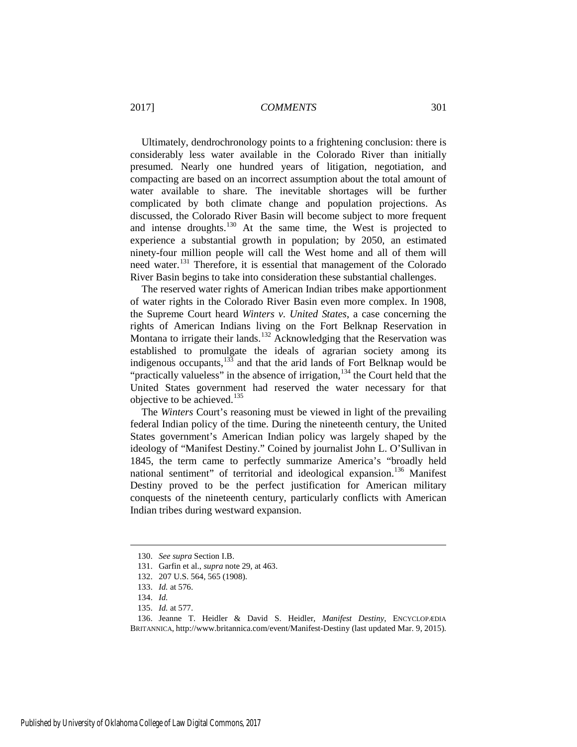Ultimately, dendrochronology points to a frightening conclusion: there is considerably less water available in the Colorado River than initially presumed. Nearly one hundred years of litigation, negotiation, and compacting are based on an incorrect assumption about the total amount of water available to share. The inevitable shortages will be further complicated by both climate change and population projections. As discussed, the Colorado River Basin will become subject to more frequent and intense droughts. $130$  At the same time, the West is projected to experience a substantial growth in population; by 2050, an estimated ninety-four million people will call the West home and all of them will need water.[131](#page-17-1) Therefore, it is essential that management of the Colorado River Basin begins to take into consideration these substantial challenges.

The reserved water rights of American Indian tribes make apportionment of water rights in the Colorado River Basin even more complex. In 1908, the Supreme Court heard *Winters v. United States*, a case concerning the rights of American Indians living on the Fort Belknap Reservation in Montana to irrigate their lands.<sup>[132](#page-17-2)</sup> Acknowledging that the Reservation was established to promulgate the ideals of agrarian society among its indigenous occupants,<sup>[133](#page-17-3)</sup> and that the arid lands of Fort Belknap would be "practically valueless" in the absence of irrigation,  $134$  the Court held that the United States government had reserved the water necessary for that objective to be achieved. $135$ 

The *Winters* Court's reasoning must be viewed in light of the prevailing federal Indian policy of the time. During the nineteenth century, the United States government's American Indian policy was largely shaped by the ideology of "Manifest Destiny." Coined by journalist John L. O'Sullivan in 1845, the term came to perfectly summarize America's "broadly held national sentiment" of territorial and ideological expansion.<sup>[136](#page-17-6)</sup> Manifest Destiny proved to be the perfect justification for American military conquests of the nineteenth century, particularly conflicts with American Indian tribes during westward expansion.

<span id="page-17-0"></span><sup>130.</sup> *See supra* Section I.B.

<span id="page-17-1"></span><sup>131.</sup> Garfin et al., *supra* not[e 29,](#page-5-0) at 463.

<sup>132. 207</sup> U.S. 564, 565 (1908).

<sup>133.</sup> *Id.* at 576.

<sup>134.</sup> *Id.*

<sup>135.</sup> *Id.* at 577.

<span id="page-17-6"></span><span id="page-17-5"></span><span id="page-17-4"></span><span id="page-17-3"></span><span id="page-17-2"></span><sup>136.</sup> Jeanne T. Heidler & David S. Heidler, *Manifest Destiny*, ENCYCLOPÆDIA BRITANNICA, http://www.britannica.com/event/Manifest-Destiny (last updated Mar. 9, 2015).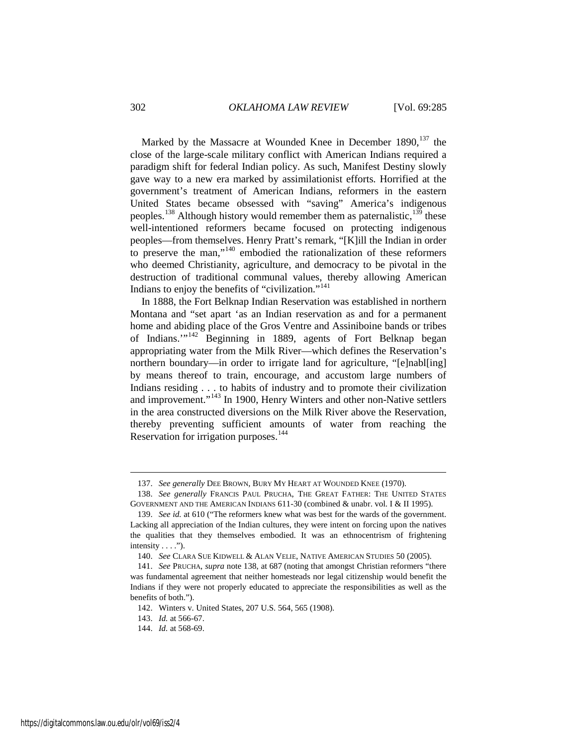<span id="page-18-0"></span>Marked by the Massacre at Wounded Knee in December 1890,<sup>[137](#page-18-1)</sup> the close of the large-scale military conflict with American Indians required a paradigm shift for federal Indian policy. As such, Manifest Destiny slowly gave way to a new era marked by assimilationist efforts. Horrified at the government's treatment of American Indians, reformers in the eastern United States became obsessed with "saving" America's indigenous peoples.<sup>[138](#page-18-2)</sup> Although history would remember them as paternalistic,<sup>[139](#page-18-3)</sup> these well-intentioned reformers became focused on protecting indigenous peoples—from themselves. Henry Pratt's remark, "[K]ill the Indian in order to preserve the man,"[140](#page-18-4) embodied the rationalization of these reformers who deemed Christianity, agriculture, and democracy to be pivotal in the destruction of traditional communal values, thereby allowing American Indians to enjoy the benefits of "civilization."<sup>[141](#page-18-5)</sup>

In 1888, the Fort Belknap Indian Reservation was established in northern Montana and "set apart 'as an Indian reservation as and for a permanent home and abiding place of the Gros Ventre and Assiniboine bands or tribes of Indians."<sup>[142](#page-18-6)</sup> Beginning in 1889, agents of Fort Belknap began appropriating water from the Milk River—which defines the Reservation's northern boundary—in order to irrigate land for agriculture, "[e]nabl[ing] by means thereof to train, encourage, and accustom large numbers of Indians residing . . . to habits of industry and to promote their civilization and improvement."<sup>[143](#page-18-7)</sup> In 1900, Henry Winters and other non-Native settlers in the area constructed diversions on the Milk River above the Reservation, thereby preventing sufficient amounts of water from reaching the Reservation for irrigation purposes.<sup>144</sup>

<u>.</u>

<sup>137.</sup> *See generally* DEE BROWN, BURY MY HEART AT WOUNDED KNEE (1970).

<span id="page-18-2"></span><span id="page-18-1"></span><sup>138.</sup> *See generally* FRANCIS PAUL PRUCHA, THE GREAT FATHER: THE UNITED STATES GOVERNMENT AND THE AMERICAN INDIANS 611-30 (combined & unabr. vol. I & II 1995).

<span id="page-18-3"></span><sup>139.</sup> *See id.* at 610 ("The reformers knew what was best for the wards of the government. Lacking all appreciation of the Indian cultures, they were intent on forcing upon the natives the qualities that they themselves embodied. It was an ethnocentrism of frightening intensity  $\dots$ .").

<sup>140.</sup> *See* CLARA SUE KIDWELL & ALAN VELIE, NATIVE AMERICAN STUDIES 50 (2005).

<span id="page-18-6"></span><span id="page-18-5"></span><span id="page-18-4"></span><sup>141.</sup> *See* PRUCHA, *supra* not[e 138,](#page-18-0) at 687 (noting that amongst Christian reformers "there was fundamental agreement that neither homesteads nor legal citizenship would benefit the Indians if they were not properly educated to appreciate the responsibilities as well as the benefits of both.").

<sup>142.</sup> Winters v. United States, 207 U.S. 564, 565 (1908).

<span id="page-18-7"></span><sup>143.</sup> *Id.* at 566-67.

<span id="page-18-8"></span><sup>144.</sup> *Id.* at 568-69.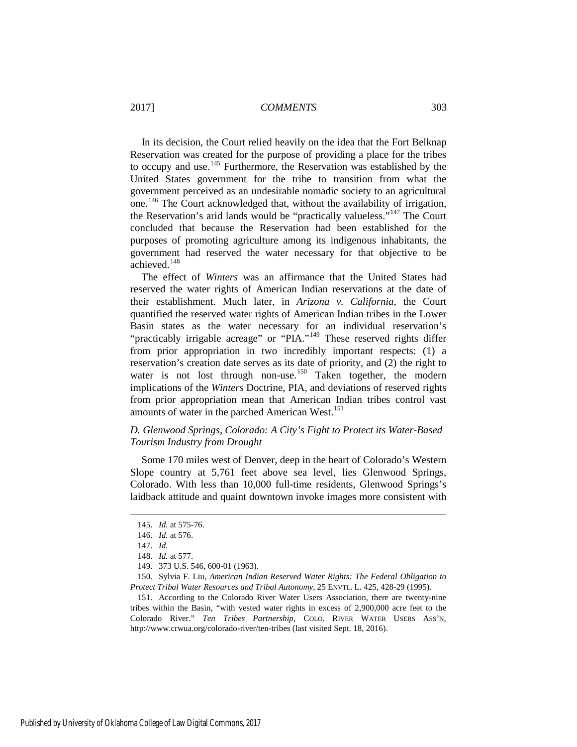In its decision, the Court relied heavily on the idea that the Fort Belknap Reservation was created for the purpose of providing a place for the tribes to occupy and use.[145](#page-19-0) Furthermore, the Reservation was established by the United States government for the tribe to transition from what the government perceived as an undesirable nomadic society to an agricultural one.[146](#page-19-1) The Court acknowledged that, without the availability of irrigation, the Reservation's arid lands would be "practically valueless."[147](#page-19-2) The Court concluded that because the Reservation had been established for the purposes of promoting agriculture among its indigenous inhabitants, the government had reserved the water necessary for that objective to be achieved.[148](#page-19-3)

The effect of *Winters* was an affirmance that the United States had reserved the water rights of American Indian reservations at the date of their establishment. Much later, in *Arizona v. California*, the Court quantified the reserved water rights of American Indian tribes in the Lower Basin states as the water necessary for an individual reservation's "practicably irrigable acreage" or "PIA."<sup>[149](#page-19-4)</sup> These reserved rights differ from prior appropriation in two incredibly important respects: (1) a reservation's creation date serves as its date of priority, and (2) the right to water is not lost through non-use.<sup>[150](#page-19-5)</sup> Taken together, the modern implications of the *Winters* Doctrine, PIA, and deviations of reserved rights from prior appropriation mean that American Indian tribes control vast amounts of water in the parched American West.<sup>[151](#page-19-6)</sup>

## *D. Glenwood Springs, Colorado: A City's Fight to Protect its Water-Based Tourism Industry from Drought*

Some 170 miles west of Denver, deep in the heart of Colorado's Western Slope country at 5,761 feet above sea level, lies Glenwood Springs, Colorado. With less than 10,000 full-time residents, Glenwood Springs's laidback attitude and quaint downtown invoke images more consistent with

<span id="page-19-0"></span><sup>145.</sup> *Id.* at 575-76.

<span id="page-19-1"></span><sup>146.</sup> *Id.* at 576.

<sup>147.</sup> *Id.*

<sup>148.</sup> *Id.* at 577.

<sup>149. 373</sup> U.S. 546, 600-01 (1963).

<span id="page-19-5"></span><span id="page-19-4"></span><span id="page-19-3"></span><span id="page-19-2"></span><sup>150.</sup> Sylvia F. Liu, *American Indian Reserved Water Rights: The Federal Obligation to Protect Tribal Water Resources and Tribal Autonomy*, 25 ENVTL. L. 425, 428-29 (1995).

<span id="page-19-6"></span><sup>151.</sup> According to the Colorado River Water Users Association, there are twenty-nine tribes within the Basin, "with vested water rights in excess of 2,900,000 acre feet to the Colorado River." *Ten Tribes Partnership*, COLO. RIVER WATER USERS ASS'N, http://www.crwua.org/colorado-river/ten-tribes (last visited Sept. 18, 2016).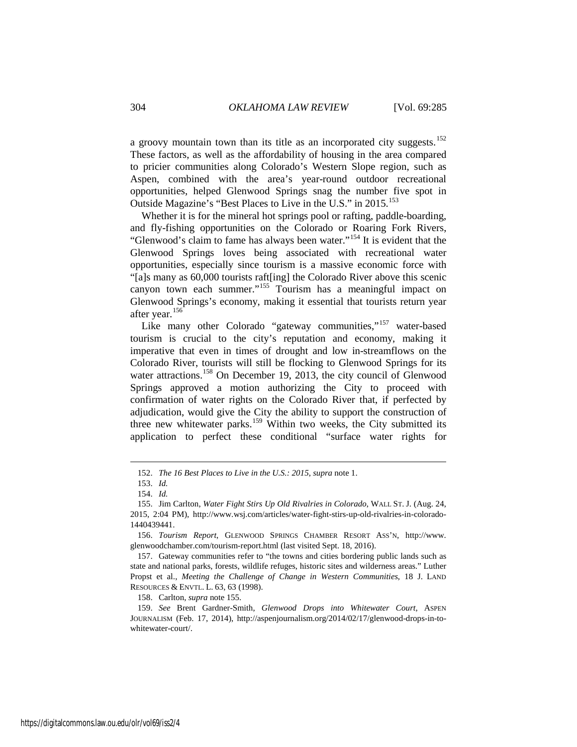a groovy mountain town than its title as an incorporated city suggests.<sup>[152](#page-20-1)</sup> These factors, as well as the affordability of housing in the area compared to pricier communities along Colorado's Western Slope region, such as Aspen, combined with the area's year-round outdoor recreational opportunities, helped Glenwood Springs snag the number five spot in Outside Magazine's "Best Places to Live in the U.S." in 2015.<sup>[153](#page-20-2)</sup>

Whether it is for the mineral hot springs pool or rafting, paddle-boarding, and fly-fishing opportunities on the Colorado or Roaring Fork Rivers, "Glenwood's claim to fame has always been water."[154](#page-20-3) It is evident that the Glenwood Springs loves being associated with recreational water opportunities, especially since tourism is a massive economic force with "[a]s many as 60,000 tourists raft[ing] the Colorado River above this scenic canyon town each summer."<sup>[155](#page-20-4)</sup> Tourism has a meaningful impact on Glenwood Springs's economy, making it essential that tourists return year after year.[156](#page-20-5)

<span id="page-20-0"></span>Like many other Colorado "gateway communities,"<sup>[157](#page-20-6)</sup> water-based tourism is crucial to the city's reputation and economy, making it imperative that even in times of drought and low in-streamflows on the Colorado River, tourists will still be flocking to Glenwood Springs for its water attractions.<sup>[158](#page-20-7)</sup> On December 19, 2013, the city council of Glenwood Springs approved a motion authorizing the City to proceed with confirmation of water rights on the Colorado River that, if perfected by adjudication, would give the City the ability to support the construction of three new whitewater parks.<sup>[159](#page-20-8)</sup> Within two weeks, the City submitted its application to perfect these conditional "surface water rights for

<span id="page-20-1"></span>-

158. Carlton, *supra* not[e 155.](#page-20-0)

<span id="page-20-8"></span><span id="page-20-7"></span>159. *See* Brent Gardner-Smith, *Glenwood Drops into Whitewater Court*, ASPEN JOURNALISM (Feb. 17, 2014), http://aspenjournalism.org/2014/02/17/glenwood-drops-in-towhitewater-court/.

<sup>152.</sup> *The 16 Best Places to Live in the U.S.: 2015*, *supra* not[e 1.](#page-1-3)

<sup>153.</sup> *Id.*

<sup>154.</sup> *Id.*

<span id="page-20-4"></span><span id="page-20-3"></span><span id="page-20-2"></span><sup>155.</sup> Jim Carlton, *Water Fight Stirs Up Old Rivalries in Colorado*, WALL ST. J. (Aug. 24, 2015, 2:04 PM), http://www.wsj.com/articles/water-fight-stirs-up-old-rivalries-in-colorado-1440439441.

<span id="page-20-5"></span><sup>156.</sup> *Tourism Report*, GLENWOOD SPRINGS CHAMBER RESORT ASS'N, http://www. glenwoodchamber.com/tourism-report.html (last visited Sept. 18, 2016).

<span id="page-20-6"></span><sup>157.</sup> Gateway communities refer to "the towns and cities bordering public lands such as state and national parks, forests, wildlife refuges, historic sites and wilderness areas." Luther Propst et al., *Meeting the Challenge of Change in Western Communities*, 18 J. LAND RESOURCES & ENVTL. L. 63, 63 (1998).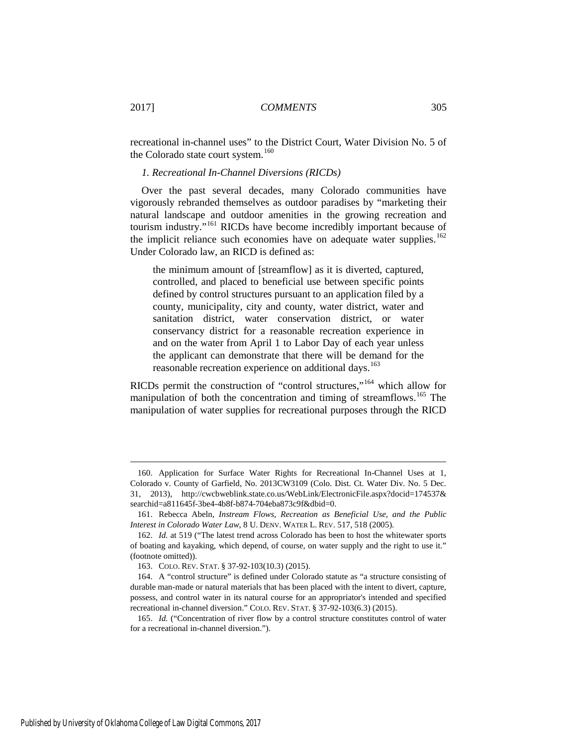recreational in-channel uses" to the District Court, Water Division No. 5 of the Colorado state court system.<sup>[160](#page-21-1)</sup>

#### <span id="page-21-0"></span>*1. Recreational In-Channel Diversions (RICDs)*

Over the past several decades, many Colorado communities have vigorously rebranded themselves as outdoor paradises by "marketing their natural landscape and outdoor amenities in the growing recreation and tourism industry."[161](#page-21-2) RICDs have become incredibly important because of the implicit reliance such economies have on adequate water supplies.<sup>[162](#page-21-3)</sup> Under Colorado law, an RICD is defined as:

<span id="page-21-7"></span>the minimum amount of [streamflow] as it is diverted, captured, controlled, and placed to beneficial use between specific points defined by control structures pursuant to an application filed by a county, municipality, city and county, water district, water and sanitation district, water conservation district, or water conservancy district for a reasonable recreation experience in and on the water from April 1 to Labor Day of each year unless the applicant can demonstrate that there will be demand for the reasonable recreation experience on additional days.<sup>[163](#page-21-4)</sup>

RICDs permit the construction of "control structures,"[164](#page-21-5) which allow for manipulation of both the concentration and timing of streamflows.<sup>[165](#page-21-6)</sup> The manipulation of water supplies for recreational purposes through the RICD

<span id="page-21-1"></span><sup>160.</sup> Application for Surface Water Rights for Recreational In-Channel Uses at 1, Colorado v. County of Garfield, No. 2013CW3109 (Colo. Dist. Ct. Water Div. No. 5 Dec. 31, 2013), http://cwcbweblink.state.co.us/WebLink/ElectronicFile.aspx?docid=174537& searchid=a811645f-3be4-4b8f-b874-704eba873c9f&dbid=0.

<span id="page-21-2"></span><sup>161.</sup> Rebecca Abeln, *Instream Flows, Recreation as Beneficial Use, and the Public Interest in Colorado Water Law*, 8 U. DENV. WATER L. REV. 517, 518 (2005).

<span id="page-21-3"></span><sup>162.</sup> *Id.* at 519 ("The latest trend across Colorado has been to host the whitewater sports of boating and kayaking, which depend, of course, on water supply and the right to use it." (footnote omitted)).

<sup>163.</sup> COLO. REV. STAT. § 37-92-103(10.3) (2015).

<span id="page-21-5"></span><span id="page-21-4"></span><sup>164.</sup> A "control structure" is defined under Colorado statute as "a structure consisting of durable man-made or natural materials that has been placed with the intent to divert, capture, possess, and control water in its natural course for an appropriator's intended and specified recreational in-channel diversion." COLO. REV. STAT. § 37-92-103(6.3) (2015).

<span id="page-21-6"></span><sup>165.</sup> *Id.* ("Concentration of river flow by a control structure constitutes control of water for a recreational in-channel diversion.").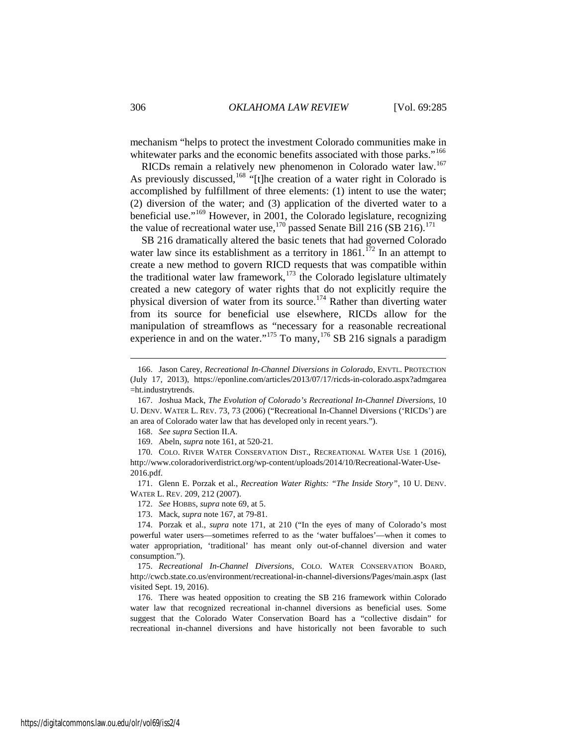mechanism "helps to protect the investment Colorado communities make in whitewater parks and the economic benefits associated with those parks."<sup>[166](#page-22-2)</sup>

<span id="page-22-0"></span>RICDs remain a relatively new phenomenon in Colorado water law.[167](#page-22-3) As previously discussed,<sup>168</sup> "[t]he creation of a water right in Colorado is accomplished by fulfillment of three elements: (1) intent to use the water; (2) diversion of the water; and (3) application of the diverted water to a beneficial use."<sup>[169](#page-22-5)</sup> However, in 2001, the Colorado legislature, recognizing the value of recreational water use,<sup>[170](#page-22-6)</sup> passed Senate Bill 216 (SB 216).<sup>[171](#page-22-7)</sup>

<span id="page-22-1"></span>SB 216 dramatically altered the basic tenets that had governed Colorado water law since its establishment as a territory in  $1861$ .<sup>[172](#page-22-8)</sup> In an attempt to create a new method to govern RICD requests that was compatible within the traditional water law framework,<sup>[173](#page-22-9)</sup> the Colorado legislature ultimately created a new category of water rights that do not explicitly require the physical diversion of water from its source.<sup>[174](#page-22-10)</sup> Rather than diverting water from its source for beneficial use elsewhere, RICDs allow for the manipulation of streamflows as "necessary for a reasonable recreational experience in and on the water."<sup>[175](#page-22-11)</sup> To many, <sup>[176](#page-22-12)</sup> SB 216 signals a paradigm

168. *See supra* Section II.A.

169. Abeln, *supra* not[e 161,](#page-21-7) at 520-21.

<span id="page-22-8"></span><span id="page-22-7"></span>171. Glenn E. Porzak et al., *Recreation Water Rights: "The Inside Story"*, 10 U. DENV. WATER L. REV. 209, 212 (2007).

173. Mack, *supra* note [167,](#page-22-0) at 79-81.

<span id="page-22-11"></span>175. *Recreational In-Channel Diversions*, COLO. WATER CONSERVATION BOARD, http://cwcb.state.co.us/environment/recreational-in-channel-diversions/Pages/main.aspx (last visited Sept. 19, 2016).

<span id="page-22-12"></span>176. There was heated opposition to creating the SB 216 framework within Colorado water law that recognized recreational in-channel diversions as beneficial uses. Some suggest that the Colorado Water Conservation Board has a "collective disdain" for recreational in-channel diversions and have historically not been favorable to such

<span id="page-22-13"></span><span id="page-22-2"></span><sup>166.</sup> Jason Carey, *Recreational In-Channel Diversions in Colorado*, ENVTL. PROTECTION (July 17, 2013), https://eponline.com/articles/2013/07/17/ricds-in-colorado.aspx?admgarea =ht.industrytrends.

<span id="page-22-3"></span><sup>167.</sup> Joshua Mack, *The Evolution of Colorado's Recreational In-Channel Diversions*, 10 U. DENV. WATER L. REV. 73, 73 (2006) ("Recreational In-Channel Diversions ('RICDs') are an area of Colorado water law that has developed only in recent years.").

<span id="page-22-6"></span><span id="page-22-5"></span><span id="page-22-4"></span><sup>170.</sup> COLO. RIVER WATER CONSERVATION DIST., RECREATIONAL WATER USE 1 (2016), http://www.coloradoriverdistrict.org/wp-content/uploads/2014/10/Recreational-Water-Use-2016.pdf.

<sup>172.</sup> *See* HOBBS, *supra* note [69,](#page-10-1) at 5.

<span id="page-22-10"></span><span id="page-22-9"></span><sup>174.</sup> Porzak et al., *supra* note [171,](#page-22-1) at 210 ("In the eyes of many of Colorado's most powerful water users—sometimes referred to as the 'water buffaloes'—when it comes to water appropriation, 'traditional' has meant only out-of-channel diversion and water consumption.").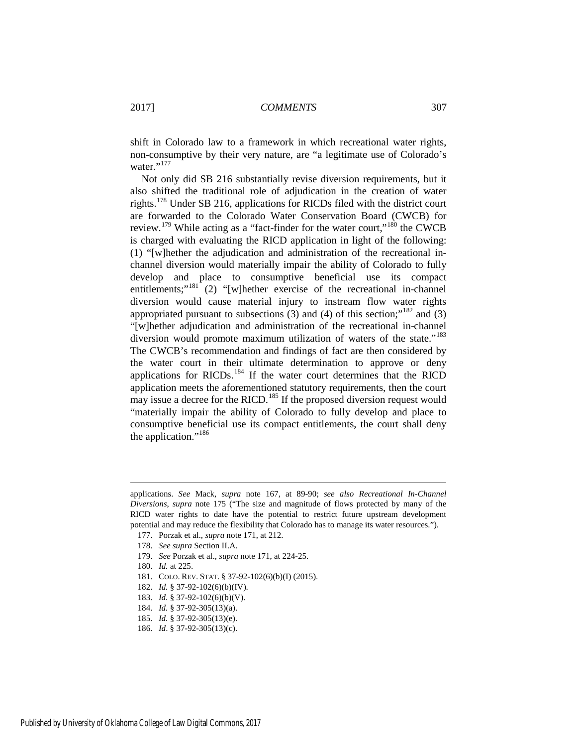shift in Colorado law to a framework in which recreational water rights, non-consumptive by their very nature, are "a legitimate use of Colorado's water."<sup>[177](#page-23-0)</sup>

Not only did SB 216 substantially revise diversion requirements, but it also shifted the traditional role of adjudication in the creation of water rights.[178](#page-23-1) Under SB 216, applications for RICDs filed with the district court are forwarded to the Colorado Water Conservation Board (CWCB) for review.<sup>[179](#page-23-2)</sup> While acting as a "fact-finder for the water court,"<sup>[180](#page-23-3)</sup> the CWCB is charged with evaluating the RICD application in light of the following: (1) "[w]hether the adjudication and administration of the recreational inchannel diversion would materially impair the ability of Colorado to fully develop and place to consumptive beneficial use its compact entitlements;" $181$  (2) "[w]hether exercise of the recreational in-channel diversion would cause material injury to instream flow water rights appropriated pursuant to subsections (3) and (4) of this section;"<sup>[182](#page-23-5)</sup> and (3) "[w]hether adjudication and administration of the recreational in-channel diversion would promote maximum utilization of waters of the state."<sup>[183](#page-23-6)</sup> The CWCB's recommendation and findings of fact are then considered by the water court in their ultimate determination to approve or deny applications for RICDs.<sup>[184](#page-23-7)</sup> If the water court determines that the RICD application meets the aforementioned statutory requirements, then the court may issue a decree for the RICD.<sup>185</sup> If the proposed diversion request would "materially impair the ability of Colorado to fully develop and place to consumptive beneficial use its compact entitlements, the court shall deny the application."<sup>[186](#page-23-9)</sup>

<span id="page-23-0"></span>applications. *See* Mack, *supra* note [167,](#page-22-0) at 89-90; *see also Recreational In-Channel Diversions*, *supra* note [175](#page-22-13) ("The size and magnitude of flows protected by many of the RICD water rights to date have the potential to restrict future upstream development potential and may reduce the flexibility that Colorado has to manage its water resources.").

<sup>177.</sup> Porzak et al., *supra* not[e 171,](#page-22-1) at 212.

<span id="page-23-1"></span><sup>178.</sup> *See supra* Section II.A.

<span id="page-23-2"></span><sup>179.</sup> *See* Porzak et al., *supra* note [171,](#page-22-1) at 224-25.

<span id="page-23-3"></span><sup>180.</sup> *Id.* at 225.

<span id="page-23-4"></span><sup>181.</sup> COLO. REV. STAT. § 37-92-102(6)(b)(I) (2015).

<span id="page-23-5"></span><sup>182.</sup> *Id.* § 37-92-102(6)(b)(IV).

<span id="page-23-6"></span><sup>183.</sup> *Id.* § 37-92-102(6)(b)(V).

<span id="page-23-7"></span><sup>184.</sup> *Id.* § 37-92-305(13)(a).

<span id="page-23-8"></span><sup>185.</sup> *Id.* § 37-92-305(13)(e).

<span id="page-23-9"></span><sup>186.</sup> *Id*. § 37-92-305(13)(c).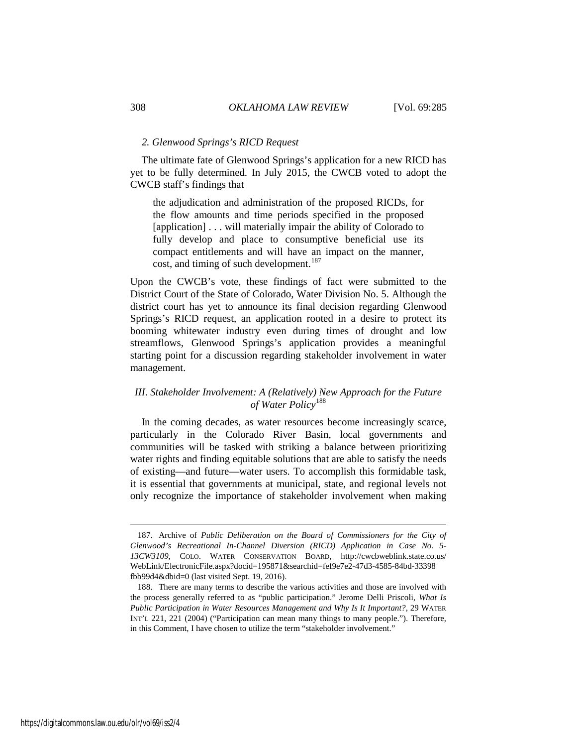#### *2. Glenwood Springs's RICD Request*

The ultimate fate of Glenwood Springs's application for a new RICD has yet to be fully determined. In July 2015, the CWCB voted to adopt the CWCB staff's findings that

the adjudication and administration of the proposed RICDs, for the flow amounts and time periods specified in the proposed [application] . . . will materially impair the ability of Colorado to fully develop and place to consumptive beneficial use its compact entitlements and will have an impact on the manner, cost, and timing of such development.<sup>[187](#page-24-0)</sup>

Upon the CWCB's vote, these findings of fact were submitted to the District Court of the State of Colorado, Water Division No. 5. Although the district court has yet to announce its final decision regarding Glenwood Springs's RICD request, an application rooted in a desire to protect its booming whitewater industry even during times of drought and low streamflows, Glenwood Springs's application provides a meaningful starting point for a discussion regarding stakeholder involvement in water management.

## *III. Stakeholder Involvement: A (Relatively) New Approach for the Future of Water Policy*[188](#page-24-1)

In the coming decades, as water resources become increasingly scarce, particularly in the Colorado River Basin, local governments and communities will be tasked with striking a balance between prioritizing water rights and finding equitable solutions that are able to satisfy the needs of existing—and future—water users. To accomplish this formidable task, it is essential that governments at municipal, state, and regional levels not only recognize the importance of stakeholder involvement when making

<span id="page-24-0"></span><sup>187.</sup> Archive of *Public Deliberation on the Board of Commissioners for the City of Glenwood's Recreational In-Channel Diversion (RICD) Application in Case No. 5- 13CW3109*, COLO. WATER CONSERVATION BOARD, http://cwcbweblink.state.co.us/ WebLink/ElectronicFile.aspx?docid=195871&searchid=fef9e7e2-47d3-4585-84bd-33398 fbb99d4&dbid=0 (last visited Sept. 19, 2016).

<span id="page-24-1"></span><sup>188.</sup> There are many terms to describe the various activities and those are involved with the process generally referred to as "public participation." Jerome Delli Priscoli, *What Is Public Participation in Water Resources Management and Why Is It Important?*, 29 WATER INT'L 221, 221 (2004) ("Participation can mean many things to many people."). Therefore, in this Comment, I have chosen to utilize the term "stakeholder involvement."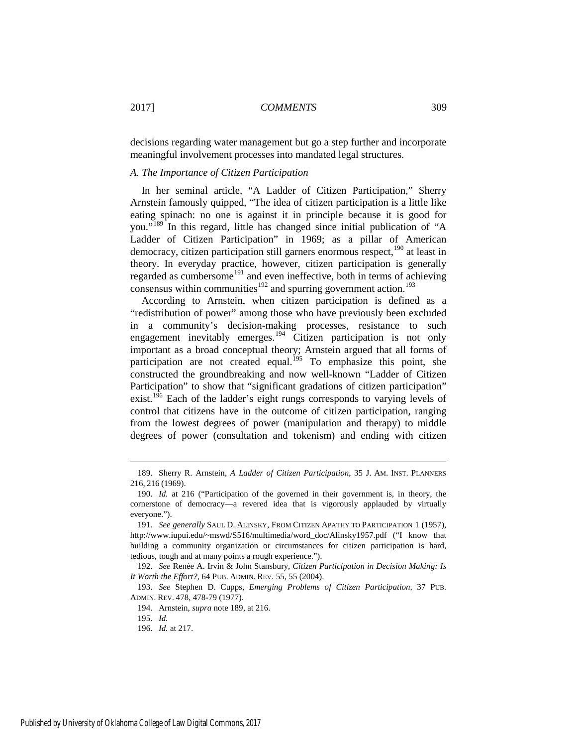decisions regarding water management but go a step further and incorporate meaningful involvement processes into mandated legal structures.

#### *A. The Importance of Citizen Participation*

<span id="page-25-0"></span>In her seminal article, "A Ladder of Citizen Participation," Sherry Arnstein famously quipped, "The idea of citizen participation is a little like eating spinach: no one is against it in principle because it is good for you."[189](#page-25-1) In this regard, little has changed since initial publication of "A Ladder of Citizen Participation" in 1969; as a pillar of American democracy, citizen participation still garners enormous respect,<sup>[190](#page-25-2)</sup> at least in theory. In everyday practice, however, citizen participation is generally regarded as cumbersome<sup>[191](#page-25-3)</sup> and even ineffective, both in terms of achieving consensus within communities<sup>[192](#page-25-4)</sup> and spurring government action.<sup>193</sup>

According to Arnstein, when citizen participation is defined as a "redistribution of power" among those who have previously been excluded in a community's decision-making processes, resistance to such engagement inevitably emerges.<sup>[194](#page-25-6)</sup> Citizen participation is not only important as a broad conceptual theory; Arnstein argued that all forms of participation are not created equal.<sup>[195](#page-25-7)</sup> To emphasize this point, she constructed the groundbreaking and now well-known "Ladder of Citizen Participation" to show that "significant gradations of citizen participation" exist.<sup>[196](#page-25-8)</sup> Each of the ladder's eight rungs corresponds to varying levels of control that citizens have in the outcome of citizen participation, ranging from the lowest degrees of power (manipulation and therapy) to middle degrees of power (consultation and tokenism) and ending with citizen

194. Arnstein, *supra* not[e 189,](#page-25-0) at 216.

<span id="page-25-1"></span><sup>189.</sup> Sherry R. Arnstein, *A Ladder of Citizen Participation*, 35 J. AM. INST. PLANNERS 216, 216 (1969).

<span id="page-25-2"></span><sup>190.</sup> *Id.* at 216 ("Participation of the governed in their government is, in theory, the cornerstone of democracy—a revered idea that is vigorously applauded by virtually everyone.").

<span id="page-25-3"></span><sup>191.</sup> *See generally* SAUL D. ALINSKY, FROM CITIZEN APATHY TO PARTICIPATION 1 (1957), http://www.iupui.edu/~mswd/S516/multimedia/word\_doc/Alinsky1957.pdf ("I know that building a community organization or circumstances for citizen participation is hard, tedious, tough and at many points a rough experience.").

<span id="page-25-4"></span><sup>192.</sup> *See* Renée A. Irvin & John Stansbury, *Citizen Participation in Decision Making: Is It Worth the Effort?*, 64 PUB. ADMIN. REV. 55, 55 (2004).

<span id="page-25-8"></span><span id="page-25-7"></span><span id="page-25-6"></span><span id="page-25-5"></span><sup>193.</sup> *See* Stephen D. Cupps, *Emerging Problems of Citizen Participation*, 37 PUB. ADMIN. REV. 478, 478-79 (1977).

<sup>195.</sup> *Id.*

<sup>196.</sup> *Id.* at 217.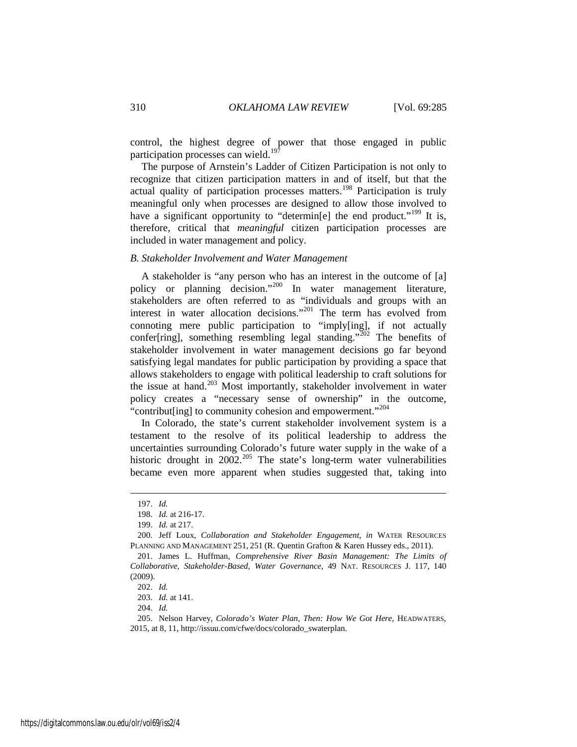control, the highest degree of power that those engaged in public participation processes can wield.<sup>197</sup>

The purpose of Arnstein's Ladder of Citizen Participation is not only to recognize that citizen participation matters in and of itself, but that the actual quality of participation processes matters.<sup>[198](#page-26-1)</sup> Participation is truly meaningful only when processes are designed to allow those involved to have a significant opportunity to "determin[e] the end product."<sup>[199](#page-26-2)</sup> It is, therefore, critical that *meaningful* citizen participation processes are included in water management and policy.

#### *B. Stakeholder Involvement and Water Management*

A stakeholder is "any person who has an interest in the outcome of [a] policy or planning decision."<sup>[200](#page-26-3)</sup> In water management literature, stakeholders are often referred to as "individuals and groups with an interest in water allocation decisions."<sup>[201](#page-26-4)</sup> The term has evolved from connoting mere public participation to "imply[ing], if not actually confer[ring], something resembling legal standing."<sup>[202](#page-26-5)</sup> The benefits of stakeholder involvement in water management decisions go far beyond satisfying legal mandates for public participation by providing a space that allows stakeholders to engage with political leadership to craft solutions for the issue at hand.[203](#page-26-6) Most importantly, stakeholder involvement in water policy creates a "necessary sense of ownership" in the outcome, "contribut[ing] to community cohesion and empowerment."<sup>[204](#page-26-7)</sup>

In Colorado, the state's current stakeholder involvement system is a testament to the resolve of its political leadership to address the uncertainties surrounding Colorado's future water supply in the wake of a historic drought in  $2002$ .<sup>[205](#page-26-8)</sup> The state's long-term water vulnerabilities became even more apparent when studies suggested that, taking into

<span id="page-26-0"></span>-

204. *Id.*

<sup>197.</sup> *Id.*

<sup>198.</sup> *Id.* at 216-17.

<sup>199.</sup> *Id.* at 217.

<span id="page-26-3"></span><span id="page-26-2"></span><span id="page-26-1"></span><sup>200.</sup> Jeff Loux, *Collaboration and Stakeholder Engagement*, *in* WATER RESOURCES PLANNING AND MANAGEMENT 251, 251 (R. Quentin Grafton & Karen Hussey eds., 2011).

<span id="page-26-5"></span><span id="page-26-4"></span><sup>201.</sup> James L. Huffman, *Comprehensive River Basin Management: The Limits of Collaborative, Stakeholder-Based, Water Governance*, 49 NAT. RESOURCES J. 117, 140 (2009).

<sup>202.</sup> *Id.*

<sup>203.</sup> *Id.* at 141.

<span id="page-26-8"></span><span id="page-26-7"></span><span id="page-26-6"></span><sup>205.</sup> Nelson Harvey, *Colorado's Water Plan, Then: How We Got Here*, HEADWATERS, 2015, at 8, 11, http://issuu.com/cfwe/docs/colorado\_swaterplan.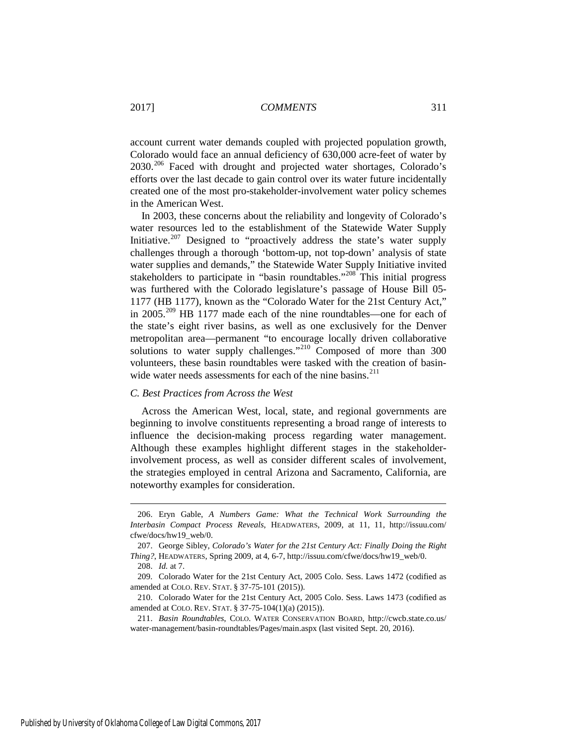account current water demands coupled with projected population growth, Colorado would face an annual deficiency of 630,000 acre-feet of water by 2030.<sup>[206](#page-27-0)</sup> Faced with drought and projected water shortages, Colorado's efforts over the last decade to gain control over its water future incidentally created one of the most pro-stakeholder-involvement water policy schemes in the American West.

<span id="page-27-6"></span>In 2003, these concerns about the reliability and longevity of Colorado's water resources led to the establishment of the Statewide Water Supply Initiative.<sup>[207](#page-27-1)</sup> Designed to "proactively address the state's water supply challenges through a thorough 'bottom-up, not top-down' analysis of state water supplies and demands," the Statewide Water Supply Initiative invited stakeholders to participate in "basin roundtables."<sup>[208](#page-27-2)</sup> This initial progress was furthered with the Colorado legislature's passage of House Bill 05- 1177 (HB 1177), known as the "Colorado Water for the 21st Century Act," in 2005.<sup>[209](#page-27-3)</sup> HB 1177 made each of the nine roundtables—one for each of the state's eight river basins, as well as one exclusively for the Denver metropolitan area—permanent "to encourage locally driven collaborative solutions to water supply challenges."<sup>[210](#page-27-4)</sup> Composed of more than 300 volunteers, these basin roundtables were tasked with the creation of basin-wide water needs assessments for each of the nine basins.<sup>[211](#page-27-5)</sup>

#### <span id="page-27-7"></span>*C. Best Practices from Across the West*

Across the American West, local, state, and regional governments are beginning to involve constituents representing a broad range of interests to influence the decision-making process regarding water management. Although these examples highlight different stages in the stakeholderinvolvement process, as well as consider different scales of involvement, the strategies employed in central Arizona and Sacramento, California, are noteworthy examples for consideration.

<u>.</u>

<span id="page-27-0"></span><sup>206.</sup> Eryn Gable, *A Numbers Game: What the Technical Work Surrounding the Interbasin Compact Process Reveals*, HEADWATERS, 2009, at 11, 11, http://issuu.com/ cfwe/docs/hw19\_web/0.

<span id="page-27-1"></span><sup>207.</sup> George Sibley, *Colorado's Water for the 21st Century Act: Finally Doing the Right Thing?*, HEADWATERS, Spring 2009, at 4, 6-7, http://issuu.com/cfwe/docs/hw19\_web/0.

<sup>208.</sup> *Id.* at 7.

<span id="page-27-3"></span><span id="page-27-2"></span><sup>209.</sup> Colorado Water for the 21st Century Act, 2005 Colo. Sess. Laws 1472 (codified as amended at COLO. REV. STAT. § 37-75-101 (2015)).

<span id="page-27-4"></span><sup>210.</sup> Colorado Water for the 21st Century Act, 2005 Colo. Sess. Laws 1473 (codified as amended at COLO. REV. STAT. § 37-75-104(1)(a) (2015)).

<span id="page-27-5"></span><sup>211.</sup> *Basin Roundtables*, COLO. WATER CONSERVATION BOARD, http://cwcb.state.co.us/ water-management/basin-roundtables/Pages/main.aspx (last visited Sept. 20, 2016).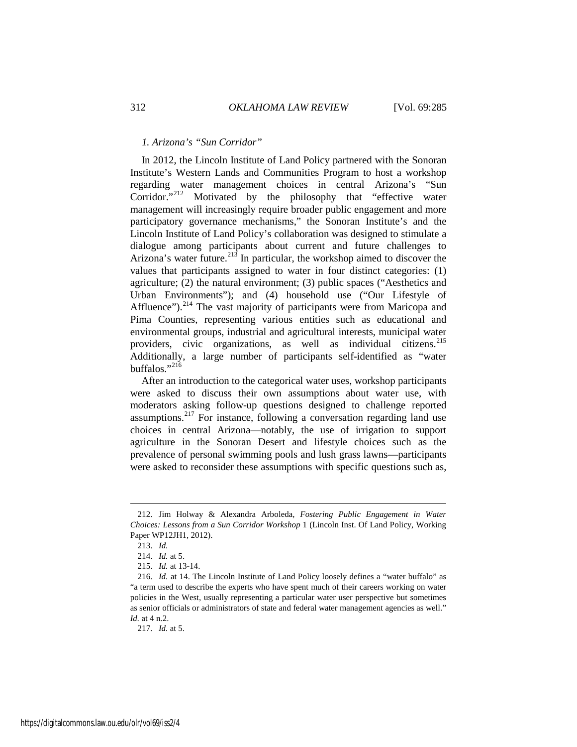#### *1. Arizona's "Sun Corridor"*

In 2012, the Lincoln Institute of Land Policy partnered with the Sonoran Institute's Western Lands and Communities Program to host a workshop regarding water management choices in central Arizona's "Sun Corridor."<sup>212</sup> Motivated by the philosophy that "effective water Motivated by the philosophy that "effective water management will increasingly require broader public engagement and more participatory governance mechanisms," the Sonoran Institute's and the Lincoln Institute of Land Policy's collaboration was designed to stimulate a dialogue among participants about current and future challenges to Arizona's water future.<sup>[213](#page-28-1)</sup> In particular, the workshop aimed to discover the values that participants assigned to water in four distinct categories: (1) agriculture; (2) the natural environment; (3) public spaces ("Aesthetics and Urban Environments"); and (4) household use ("Our Lifestyle of Affluence").<sup>[214](#page-28-2)</sup> The vast majority of participants were from Maricopa and Pima Counties, representing various entities such as educational and environmental groups, industrial and agricultural interests, municipal water providers, civic organizations, as well as individual citizens.<sup>[215](#page-28-3)</sup> Additionally, a large number of participants self-identified as "water buffalos."<sup>[216](#page-28-4)</sup>

After an introduction to the categorical water uses, workshop participants were asked to discuss their own assumptions about water use, with moderators asking follow-up questions designed to challenge reported assumptions.[217](#page-28-5) For instance, following a conversation regarding land use choices in central Arizona—notably, the use of irrigation to support agriculture in the Sonoran Desert and lifestyle choices such as the prevalence of personal swimming pools and lush grass lawns—participants were asked to reconsider these assumptions with specific questions such as,

<u>.</u>

<span id="page-28-1"></span><span id="page-28-0"></span><sup>212.</sup> Jim Holway & Alexandra Arboleda, *Fostering Public Engagement in Water Choices: Lessons from a Sun Corridor Workshop* 1 (Lincoln Inst. Of Land Policy, Working Paper WP12JH1, 2012).

<sup>213.</sup> *Id.*

<sup>214.</sup> *Id.* at 5.

<sup>215.</sup> *Id.* at 13-14.

<span id="page-28-4"></span><span id="page-28-3"></span><span id="page-28-2"></span><sup>216.</sup> *Id.* at 14. The Lincoln Institute of Land Policy loosely defines a "water buffalo" as "a term used to describe the experts who have spent much of their careers working on water policies in the West, usually representing a particular water user perspective but sometimes as senior officials or administrators of state and federal water management agencies as well." *Id.* at 4 n.2.

<span id="page-28-5"></span><sup>217.</sup> *Id.* at 5.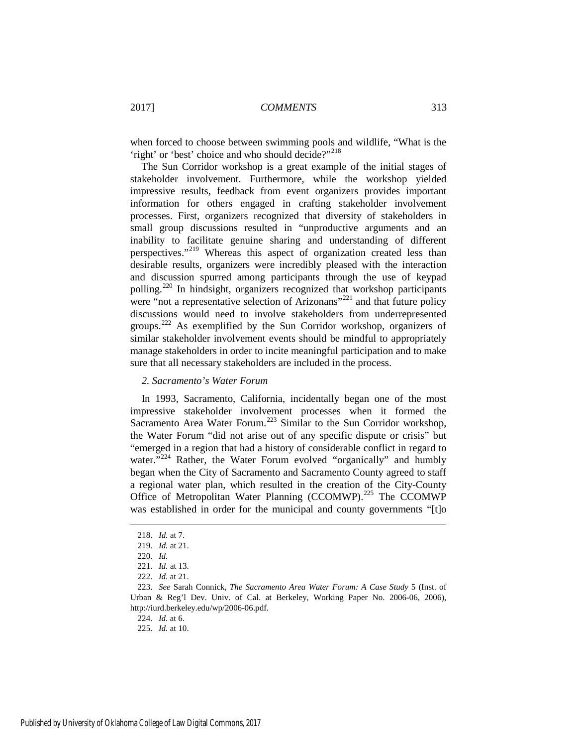when forced to choose between swimming pools and wildlife, "What is the 'right' or 'best' choice and who should decide?"<sup>[218](#page-29-0)</sup>

The Sun Corridor workshop is a great example of the initial stages of stakeholder involvement. Furthermore, while the workshop yielded impressive results, feedback from event organizers provides important information for others engaged in crafting stakeholder involvement processes. First, organizers recognized that diversity of stakeholders in small group discussions resulted in "unproductive arguments and an inability to facilitate genuine sharing and understanding of different perspectives."[219](#page-29-1) Whereas this aspect of organization created less than desirable results, organizers were incredibly pleased with the interaction and discussion spurred among participants through the use of keypad polling.[220](#page-29-2) In hindsight, organizers recognized that workshop participants were "not a representative selection of Arizonans"<sup>[221](#page-29-3)</sup> and that future policy discussions would need to involve stakeholders from underrepresented groups.[222](#page-29-4) As exemplified by the Sun Corridor workshop, organizers of similar stakeholder involvement events should be mindful to appropriately manage stakeholders in order to incite meaningful participation and to make sure that all necessary stakeholders are included in the process.

#### *2. Sacramento's Water Forum*

In 1993, Sacramento, California, incidentally began one of the most impressive stakeholder involvement processes when it formed the Sacramento Area Water Forum.<sup>[223](#page-29-5)</sup> Similar to the Sun Corridor workshop, the Water Forum "did not arise out of any specific dispute or crisis" but "emerged in a region that had a history of considerable conflict in regard to water."<sup>[224](#page-29-6)</sup> Rather, the Water Forum evolved "organically" and humbly began when the City of Sacramento and Sacramento County agreed to staff a regional water plan, which resulted in the creation of the City-County Office of Metropolitan Water Planning (CCOMWP).<sup>[225](#page-29-7)</sup> The CCOMWP was established in order for the municipal and county governments "[t]o

<span id="page-29-1"></span><span id="page-29-0"></span>-

224. *Id.* at 6.

<sup>218.</sup> *Id.* at 7.

<sup>219.</sup> *Id.* at 21.

<sup>220.</sup> *Id.*

<sup>221.</sup> *Id.* at 13.

<sup>222.</sup> *Id.* at 21.

<span id="page-29-7"></span><span id="page-29-6"></span><span id="page-29-5"></span><span id="page-29-4"></span><span id="page-29-3"></span><span id="page-29-2"></span><sup>223.</sup> *See* Sarah Connick, *The Sacramento Area Water Forum: A Case Study* 5 (Inst. of Urban & Reg'l Dev. Univ. of Cal. at Berkeley, Working Paper No. 2006-06, 2006), http://iurd.berkeley.edu/wp/2006-06.pdf.

<sup>225.</sup> *Id.* at 10.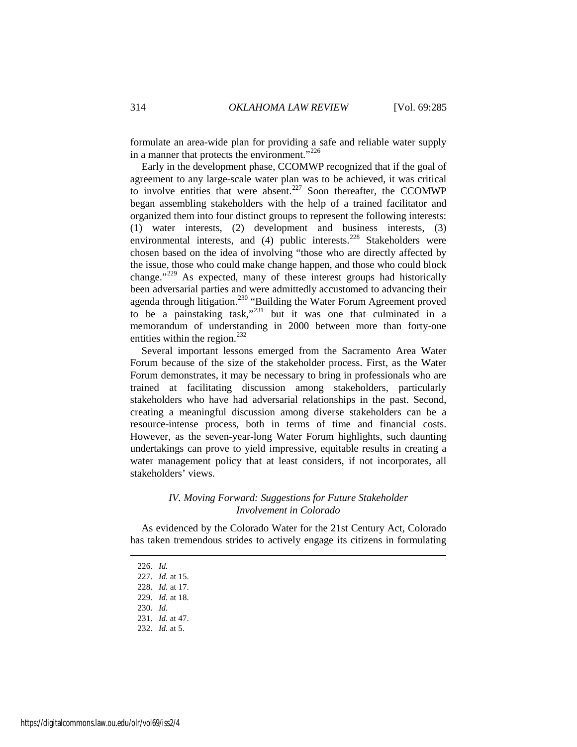formulate an area-wide plan for providing a safe and reliable water supply in a manner that protects the environment."<sup>[226](#page-30-0)</sup>

Early in the development phase, CCOMWP recognized that if the goal of agreement to any large-scale water plan was to be achieved, it was critical to involve entities that were absent.<sup>[227](#page-30-1)</sup> Soon thereafter, the CCOMWP began assembling stakeholders with the help of a trained facilitator and organized them into four distinct groups to represent the following interests: (1) water interests, (2) development and business interests, (3) environmental interests, and (4) public interests.<sup>[228](#page-30-2)</sup> Stakeholders were chosen based on the idea of involving "those who are directly affected by the issue, those who could make change happen, and those who could block change."[229](#page-30-3) As expected, many of these interest groups had historically been adversarial parties and were admittedly accustomed to advancing their agenda through litigation.<sup>[230](#page-30-4)</sup> "Building the Water Forum Agreement proved to be a painstaking task,"[231](#page-30-5) but it was one that culminated in a memorandum of understanding in 2000 between more than forty-one entities within the region.<sup>[232](#page-30-6)</sup>

Several important lessons emerged from the Sacramento Area Water Forum because of the size of the stakeholder process. First, as the Water Forum demonstrates, it may be necessary to bring in professionals who are trained at facilitating discussion among stakeholders, particularly stakeholders who have had adversarial relationships in the past. Second, creating a meaningful discussion among diverse stakeholders can be a resource-intense process, both in terms of time and financial costs. However, as the seven-year-long Water Forum highlights, such daunting undertakings can prove to yield impressive, equitable results in creating a water management policy that at least considers, if not incorporates, all stakeholders' views.

### *IV. Moving Forward: Suggestions for Future Stakeholder Involvement in Colorado*

<span id="page-30-0"></span>As evidenced by the Colorado Water for the 21st Century Act, Colorado has taken tremendous strides to actively engage its citizens in formulating

<sup>226.</sup> *Id.*

<span id="page-30-1"></span><sup>227.</sup> *Id.* at 15.

<sup>228.</sup> *Id.* at 17.

<span id="page-30-4"></span><span id="page-30-3"></span><span id="page-30-2"></span><sup>229.</sup> *Id.* at 18.

<sup>230.</sup> *Id.*

<sup>231.</sup> *Id.* at 47.

<span id="page-30-6"></span><span id="page-30-5"></span><sup>232.</sup> *Id.* at 5.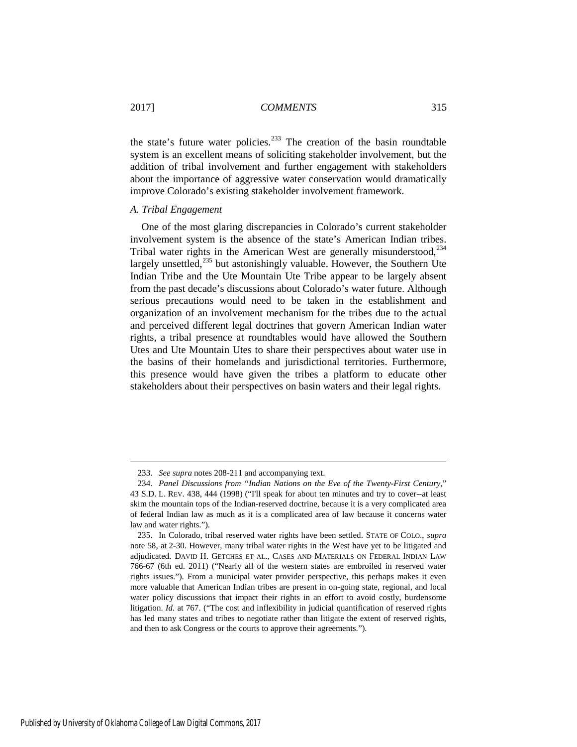the state's future water policies.<sup>[233](#page-31-0)</sup> The creation of the basin roundtable system is an excellent means of soliciting stakeholder involvement, but the addition of tribal involvement and further engagement with stakeholders about the importance of aggressive water conservation would dramatically improve Colorado's existing stakeholder involvement framework.

#### *A. Tribal Engagement*

One of the most glaring discrepancies in Colorado's current stakeholder involvement system is the absence of the state's American Indian tribes. Tribal water rights in the American West are generally misunderstood,<sup>[234](#page-31-1)</sup> largely unsettled, $^{235}$  $^{235}$  $^{235}$  but astonishingly valuable. However, the Southern Ute Indian Tribe and the Ute Mountain Ute Tribe appear to be largely absent from the past decade's discussions about Colorado's water future. Although serious precautions would need to be taken in the establishment and organization of an involvement mechanism for the tribes due to the actual and perceived different legal doctrines that govern American Indian water rights, a tribal presence at roundtables would have allowed the Southern Utes and Ute Mountain Utes to share their perspectives about water use in the basins of their homelands and jurisdictional territories. Furthermore, this presence would have given the tribes a platform to educate other stakeholders about their perspectives on basin waters and their legal rights.

<sup>233.</sup> *See supra* note[s 208](#page-27-6)[-211](#page-27-7) and accompanying text.

<span id="page-31-1"></span><span id="page-31-0"></span><sup>234.</sup> *Panel Discussions from "Indian Nations on the Eve of the Twenty-First Century,*" 43 S.D. L. REV. 438, 444 (1998) ("I'll speak for about ten minutes and try to cover--at least skim the mountain tops of the Indian-reserved doctrine, because it is a very complicated area of federal Indian law as much as it is a complicated area of law because it concerns water law and water rights.").

<span id="page-31-2"></span><sup>235.</sup> In Colorado, tribal reserved water rights have been settled. STATE OF COLO., *supra* note [58,](#page-9-0) at 2-30. However, many tribal water rights in the West have yet to be litigated and adjudicated. DAVID H. GETCHES ET AL., CASES AND MATERIALS ON FEDERAL INDIAN LAW 766-67 (6th ed. 2011) ("Nearly all of the western states are embroiled in reserved water rights issues."). From a municipal water provider perspective, this perhaps makes it even more valuable that American Indian tribes are present in on-going state, regional, and local water policy discussions that impact their rights in an effort to avoid costly, burdensome litigation. *Id.* at 767. ("The cost and inflexibility in judicial quantification of reserved rights has led many states and tribes to negotiate rather than litigate the extent of reserved rights, and then to ask Congress or the courts to approve their agreements.").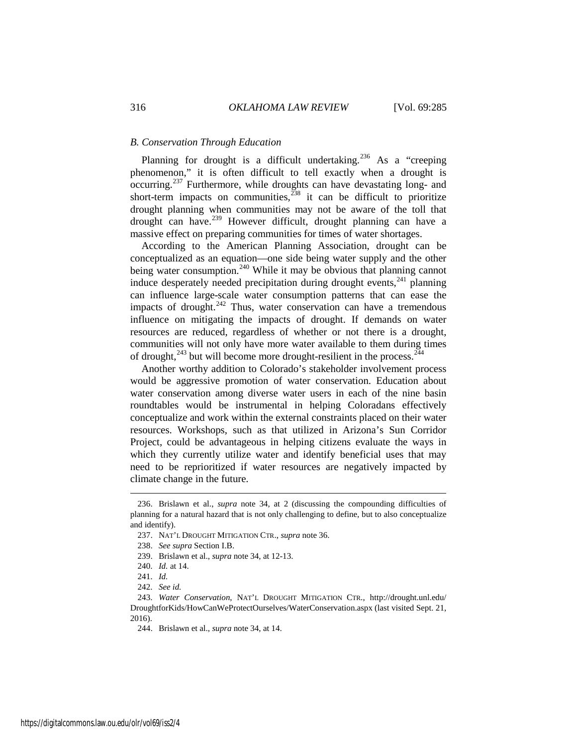#### *B. Conservation Through Education*

Planning for drought is a difficult undertaking.<sup>[236](#page-32-0)</sup> As a "creeping" phenomenon," it is often difficult to tell exactly when a drought is occurring.<sup>[237](#page-32-1)</sup> Furthermore, while droughts can have devastating long- and short-term impacts on communities,  $238$  it can be difficult to prioritize drought planning when communities may not be aware of the toll that drought can have.[239](#page-32-3) However difficult, drought planning can have a massive effect on preparing communities for times of water shortages.

According to the American Planning Association, drought can be conceptualized as an equation—one side being water supply and the other being water consumption.<sup>[240](#page-32-4)</sup> While it may be obvious that planning cannot induce desperately needed precipitation during drought events,<sup>241</sup> planning can influence large-scale water consumption patterns that can ease the impacts of drought. $242$  Thus, water conservation can have a tremendous influence on mitigating the impacts of drought. If demands on water resources are reduced, regardless of whether or not there is a drought, communities will not only have more water available to them during times of drought, $243$  but will become more drought-resilient in the process. $244$ 

Another worthy addition to Colorado's stakeholder involvement process would be aggressive promotion of water conservation. Education about water conservation among diverse water users in each of the nine basin roundtables would be instrumental in helping Coloradans effectively conceptualize and work within the external constraints placed on their water resources. Workshops, such as that utilized in Arizona's Sun Corridor Project, could be advantageous in helping citizens evaluate the ways in which they currently utilize water and identify beneficial uses that may need to be reprioritized if water resources are negatively impacted by climate change in the future.

<span id="page-32-2"></span><span id="page-32-1"></span><span id="page-32-0"></span><sup>236.</sup> Brislawn et al., *supra* note [34,](#page-6-0) at 2 (discussing the compounding difficulties of planning for a natural hazard that is not only challenging to define, but to also conceptualize and identify).

<sup>237.</sup> NAT'L DROUGHT MITIGATION CTR., *supra* not[e 36.](#page-6-12) 

<sup>238.</sup> *See supra* Section I.B.

<sup>239.</sup> Brislawn et al., *supra* not[e 34,](#page-6-0) at 12-13.

<sup>240.</sup> *Id.* at 14.

<sup>241.</sup> *Id.*

<sup>242.</sup> *See id.*

<span id="page-32-8"></span><span id="page-32-7"></span><span id="page-32-6"></span><span id="page-32-5"></span><span id="page-32-4"></span><span id="page-32-3"></span><sup>243.</sup> *Water Conservation*, NAT'L DROUGHT MITIGATION CTR., http://drought.unl.edu/ DroughtforKids/HowCanWeProtectOurselves/WaterConservation.aspx (last visited Sept. 21, 2016).

<sup>244.</sup> Brislawn et al., *supra* not[e 34,](#page-6-0) at 14.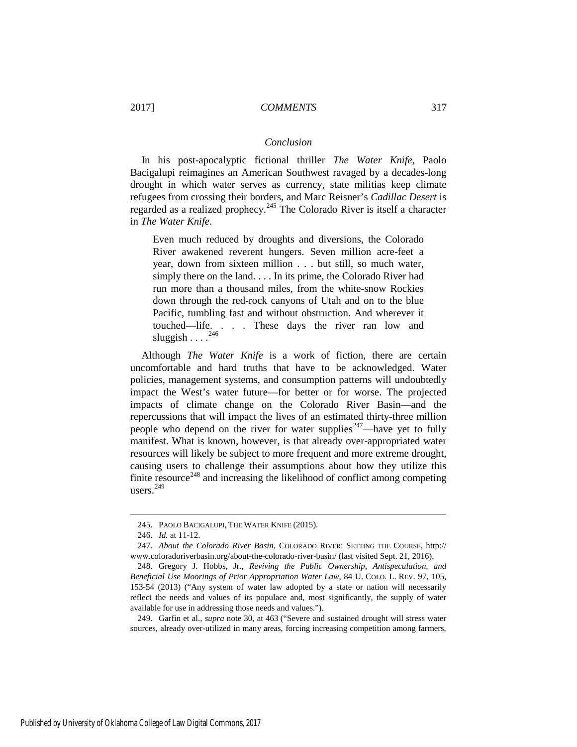#### *Conclusion*

In his post-apocalyptic fictional thriller *The Water Knife*, Paolo Bacigalupi reimagines an American Southwest ravaged by a decades-long drought in which water serves as currency, state militias keep climate refugees from crossing their borders, and Marc Reisner's *Cadillac Desert* is regarded as a realized prophecy.[245](#page-33-0) The Colorado River is itself a character in *The Water Knife*.

Even much reduced by droughts and diversions, the Colorado River awakened reverent hungers. Seven million acre-feet a year, down from sixteen million . . . but still, so much water, simply there on the land. . . . In its prime, the Colorado River had run more than a thousand miles, from the white-snow Rockies down through the red-rock canyons of Utah and on to the blue Pacific, tumbling fast and without obstruction. And wherever it touched—life. . . . These days the river ran low and sluggish  $\ldots$ .<sup>246</sup>

Although *The Water Knife* is a work of fiction, there are certain uncomfortable and hard truths that have to be acknowledged. Water policies, management systems, and consumption patterns will undoubtedly impact the West's water future—for better or for worse. The projected impacts of climate change on the Colorado River Basin—and the repercussions that will impact the lives of an estimated thirty-three million people who depend on the river for water supplies<sup> $247$ </sup>—have yet to fully manifest. What is known, however, is that already over-appropriated water resources will likely be subject to more frequent and more extreme drought, causing users to challenge their assumptions about how they utilize this finite resource<sup>[248](#page-33-3)</sup> and increasing the likelihood of conflict among competing users. $249$ 

<sup>245.</sup> PAOLO BACIGALUPI, THE WATER KNIFE (2015).

<sup>246.</sup> *Id.* at 11-12.

<span id="page-33-2"></span><span id="page-33-1"></span><span id="page-33-0"></span><sup>247.</sup> *About the Colorado River Basin*, COLORADO RIVER: SETTING THE COURSE, http:// www.coloradoriverbasin.org/about-the-colorado-river-basin/ (last visited Sept. 21, 2016).

<span id="page-33-3"></span><sup>248.</sup> Gregory J. Hobbs, Jr., *Reviving the Public Ownership, Antispeculation, and Beneficial Use Moorings of Prior Appropriation Water Law*, 84 U. COLO. L. REV. 97, 105, 153-54 (2013) ("Any system of water law adopted by a state or nation will necessarily reflect the needs and values of its populace and, most significantly, the supply of water available for use in addressing those needs and values.").

<span id="page-33-4"></span><sup>249.</sup> Garfin et al., *supra* note [30,](#page-5-10) at 463 ("Severe and sustained drought will stress water sources, already over-utilized in many areas, forcing increasing competition among farmers,